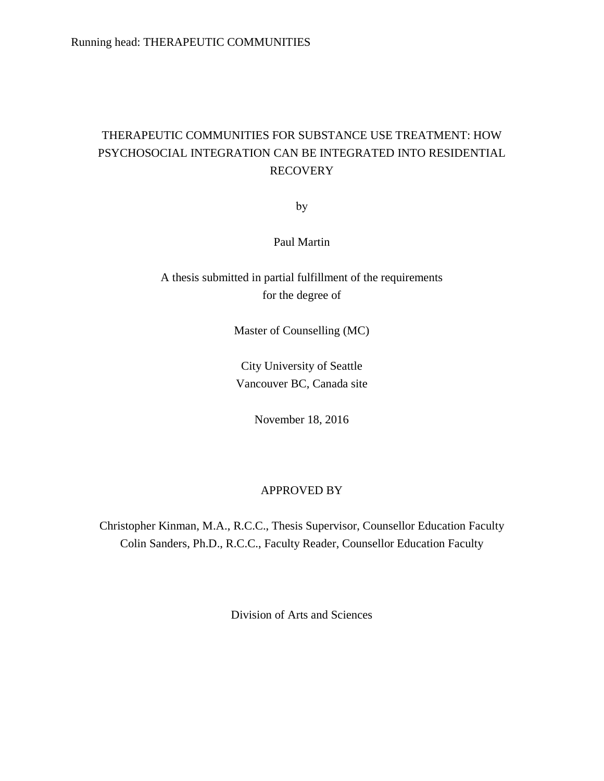## THERAPEUTIC COMMUNITIES FOR SUBSTANCE USE TREATMENT: HOW PSYCHOSOCIAL INTEGRATION CAN BE INTEGRATED INTO RESIDENTIAL RECOVERY

by

Paul Martin

A thesis submitted in partial fulfillment of the requirements for the degree of

Master of Counselling (MC)

City University of Seattle Vancouver BC, Canada site

November 18, 2016

### APPROVED BY

Christopher Kinman, M.A., R.C.C., Thesis Supervisor, Counsellor Education Faculty Colin Sanders, Ph.D., R.C.C., Faculty Reader, Counsellor Education Faculty

Division of Arts and Sciences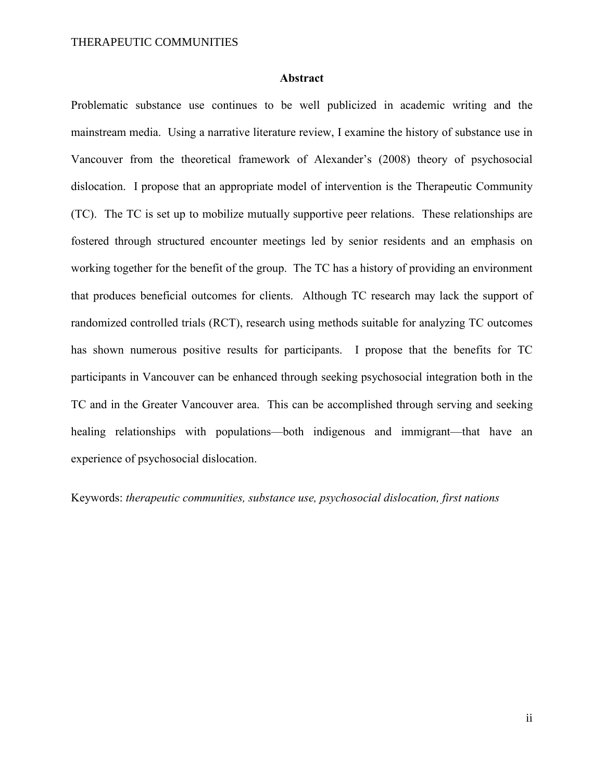### **Abstract**

Problematic substance use continues to be well publicized in academic writing and the mainstream media. Using a narrative literature review, I examine the history of substance use in Vancouver from the theoretical framework of Alexander's (2008) theory of psychosocial dislocation. I propose that an appropriate model of intervention is the Therapeutic Community (TC). The TC is set up to mobilize mutually supportive peer relations. These relationships are fostered through structured encounter meetings led by senior residents and an emphasis on working together for the benefit of the group. The TC has a history of providing an environment that produces beneficial outcomes for clients. Although TC research may lack the support of randomized controlled trials (RCT), research using methods suitable for analyzing TC outcomes has shown numerous positive results for participants. I propose that the benefits for TC participants in Vancouver can be enhanced through seeking psychosocial integration both in the TC and in the Greater Vancouver area. This can be accomplished through serving and seeking healing relationships with populations—both indigenous and immigrant—that have an experience of psychosocial dislocation.

Keywords: *therapeutic communities, substance use, psychosocial dislocation, first nations*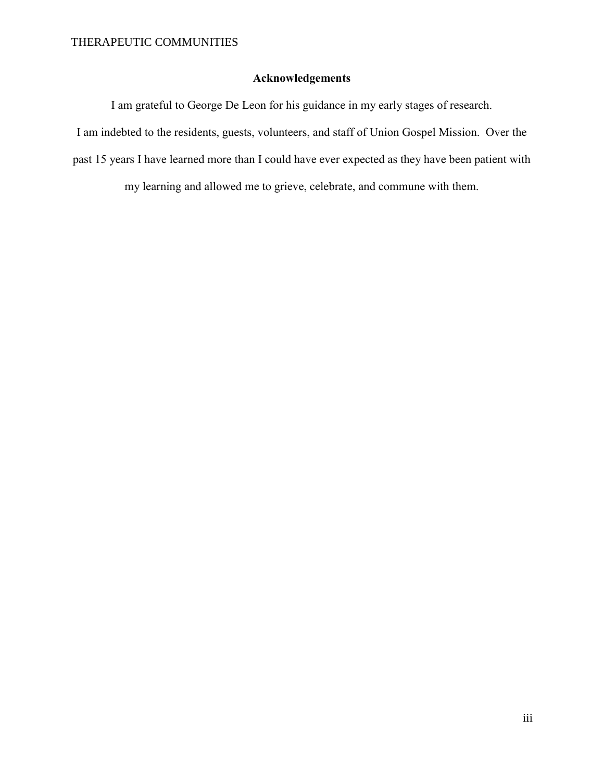### **Acknowledgements**

I am grateful to George De Leon for his guidance in my early stages of research.

I am indebted to the residents, guests, volunteers, and staff of Union Gospel Mission. Over the

past 15 years I have learned more than I could have ever expected as they have been patient with

my learning and allowed me to grieve, celebrate, and commune with them.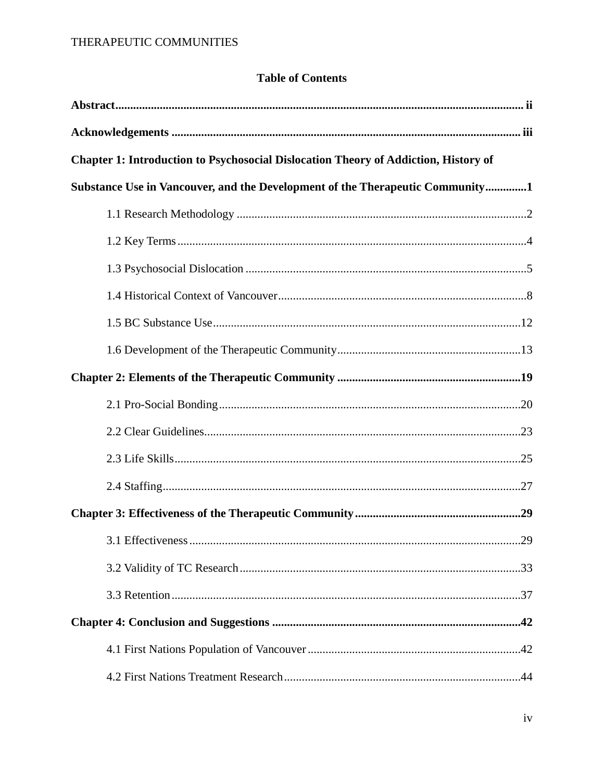### **Table of Contents**

| Chapter 1: Introduction to Psychosocial Dislocation Theory of Addiction, History of |  |
|-------------------------------------------------------------------------------------|--|
| Substance Use in Vancouver, and the Development of the Therapeutic Community1       |  |
|                                                                                     |  |
|                                                                                     |  |
|                                                                                     |  |
|                                                                                     |  |
|                                                                                     |  |
|                                                                                     |  |
|                                                                                     |  |
|                                                                                     |  |
|                                                                                     |  |
|                                                                                     |  |
|                                                                                     |  |
|                                                                                     |  |
|                                                                                     |  |
|                                                                                     |  |
|                                                                                     |  |
|                                                                                     |  |
|                                                                                     |  |
|                                                                                     |  |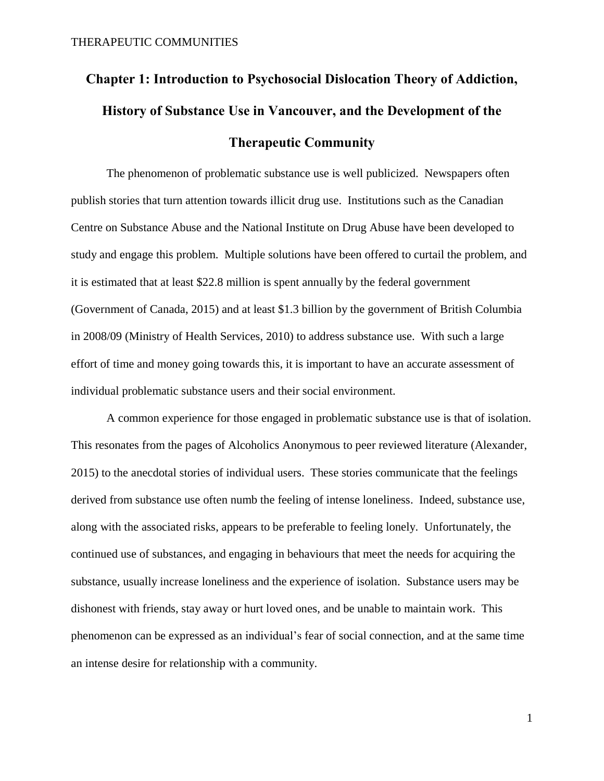# **Chapter 1: Introduction to Psychosocial Dislocation Theory of Addiction, History of Substance Use in Vancouver, and the Development of the Therapeutic Community**

The phenomenon of problematic substance use is well publicized. Newspapers often publish stories that turn attention towards illicit drug use. Institutions such as the Canadian Centre on Substance Abuse and the National Institute on Drug Abuse have been developed to study and engage this problem. Multiple solutions have been offered to curtail the problem, and it is estimated that at least \$22.8 million is spent annually by the federal government (Government of Canada, 2015) and at least \$1.3 billion by the government of British Columbia in 2008/09 (Ministry of Health Services, 2010) to address substance use. With such a large effort of time and money going towards this, it is important to have an accurate assessment of individual problematic substance users and their social environment.

A common experience for those engaged in problematic substance use is that of isolation. This resonates from the pages of Alcoholics Anonymous to peer reviewed literature (Alexander, 2015) to the anecdotal stories of individual users. These stories communicate that the feelings derived from substance use often numb the feeling of intense loneliness. Indeed, substance use, along with the associated risks, appears to be preferable to feeling lonely. Unfortunately, the continued use of substances, and engaging in behaviours that meet the needs for acquiring the substance, usually increase loneliness and the experience of isolation. Substance users may be dishonest with friends, stay away or hurt loved ones, and be unable to maintain work. This phenomenon can be expressed as an individual's fear of social connection, and at the same time an intense desire for relationship with a community.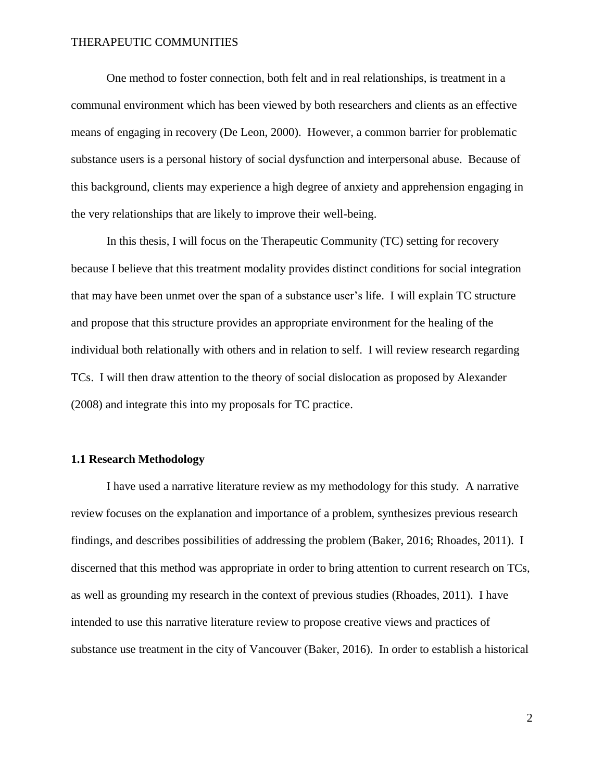One method to foster connection, both felt and in real relationships, is treatment in a communal environment which has been viewed by both researchers and clients as an effective means of engaging in recovery (De Leon, 2000). However, a common barrier for problematic substance users is a personal history of social dysfunction and interpersonal abuse. Because of this background, clients may experience a high degree of anxiety and apprehension engaging in the very relationships that are likely to improve their well-being.

In this thesis, I will focus on the Therapeutic Community (TC) setting for recovery because I believe that this treatment modality provides distinct conditions for social integration that may have been unmet over the span of a substance user's life. I will explain TC structure and propose that this structure provides an appropriate environment for the healing of the individual both relationally with others and in relation to self. I will review research regarding TCs. I will then draw attention to the theory of social dislocation as proposed by Alexander (2008) and integrate this into my proposals for TC practice.

### **1.1 Research Methodology**

I have used a narrative literature review as my methodology for this study. A narrative review focuses on the explanation and importance of a problem, synthesizes previous research findings, and describes possibilities of addressing the problem (Baker, 2016; Rhoades, 2011). I discerned that this method was appropriate in order to bring attention to current research on TCs, as well as grounding my research in the context of previous studies (Rhoades, 2011). I have intended to use this narrative literature review to propose creative views and practices of substance use treatment in the city of Vancouver (Baker, 2016). In order to establish a historical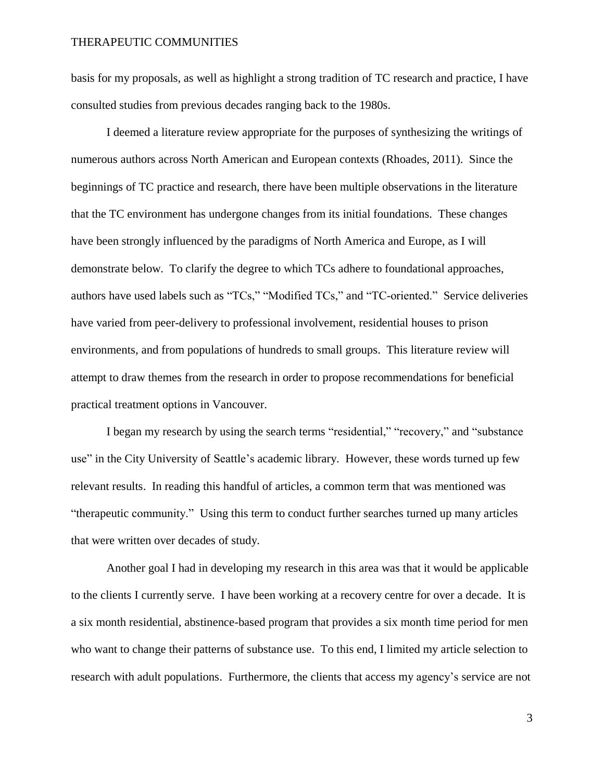basis for my proposals, as well as highlight a strong tradition of TC research and practice, I have consulted studies from previous decades ranging back to the 1980s.

I deemed a literature review appropriate for the purposes of synthesizing the writings of numerous authors across North American and European contexts (Rhoades, 2011). Since the beginnings of TC practice and research, there have been multiple observations in the literature that the TC environment has undergone changes from its initial foundations. These changes have been strongly influenced by the paradigms of North America and Europe, as I will demonstrate below. To clarify the degree to which TCs adhere to foundational approaches, authors have used labels such as "TCs," "Modified TCs," and "TC-oriented." Service deliveries have varied from peer-delivery to professional involvement, residential houses to prison environments, and from populations of hundreds to small groups. This literature review will attempt to draw themes from the research in order to propose recommendations for beneficial practical treatment options in Vancouver.

I began my research by using the search terms "residential," "recovery," and "substance use" in the City University of Seattle's academic library. However, these words turned up few relevant results. In reading this handful of articles, a common term that was mentioned was "therapeutic community." Using this term to conduct further searches turned up many articles that were written over decades of study.

Another goal I had in developing my research in this area was that it would be applicable to the clients I currently serve. I have been working at a recovery centre for over a decade. It is a six month residential, abstinence-based program that provides a six month time period for men who want to change their patterns of substance use. To this end, I limited my article selection to research with adult populations. Furthermore, the clients that access my agency's service are not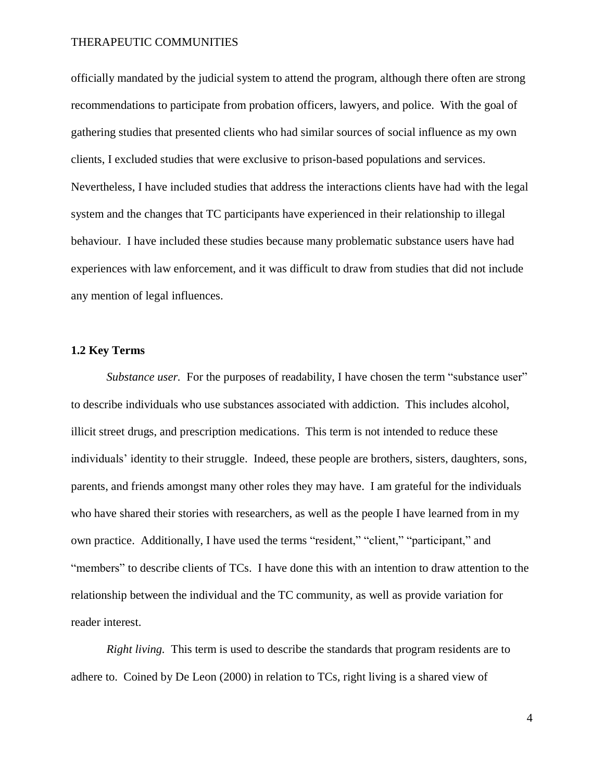officially mandated by the judicial system to attend the program, although there often are strong recommendations to participate from probation officers, lawyers, and police. With the goal of gathering studies that presented clients who had similar sources of social influence as my own clients, I excluded studies that were exclusive to prison-based populations and services. Nevertheless, I have included studies that address the interactions clients have had with the legal system and the changes that TC participants have experienced in their relationship to illegal behaviour. I have included these studies because many problematic substance users have had experiences with law enforcement, and it was difficult to draw from studies that did not include any mention of legal influences.

### **1.2 Key Terms**

*Substance user.* For the purposes of readability, I have chosen the term "substance user" to describe individuals who use substances associated with addiction. This includes alcohol, illicit street drugs, and prescription medications. This term is not intended to reduce these individuals' identity to their struggle. Indeed, these people are brothers, sisters, daughters, sons, parents, and friends amongst many other roles they may have. I am grateful for the individuals who have shared their stories with researchers, as well as the people I have learned from in my own practice. Additionally, I have used the terms "resident," "client," "participant," and "members" to describe clients of TCs. I have done this with an intention to draw attention to the relationship between the individual and the TC community, as well as provide variation for reader interest.

*Right living.* This term is used to describe the standards that program residents are to adhere to. Coined by De Leon (2000) in relation to TCs, right living is a shared view of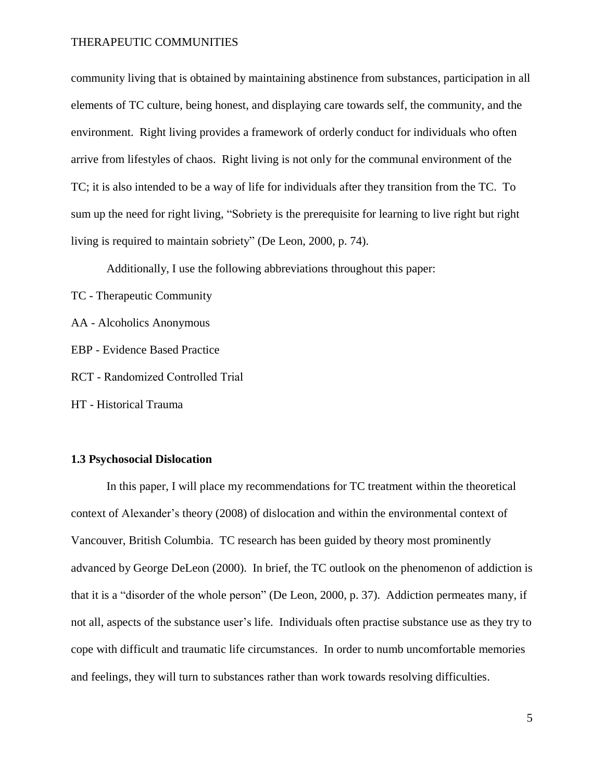community living that is obtained by maintaining abstinence from substances, participation in all elements of TC culture, being honest, and displaying care towards self, the community, and the environment. Right living provides a framework of orderly conduct for individuals who often arrive from lifestyles of chaos. Right living is not only for the communal environment of the TC; it is also intended to be a way of life for individuals after they transition from the TC. To sum up the need for right living, "Sobriety is the prerequisite for learning to live right but right living is required to maintain sobriety" (De Leon, 2000, p. 74).

Additionally, I use the following abbreviations throughout this paper:

TC - Therapeutic Community

AA - Alcoholics Anonymous

- EBP Evidence Based Practice
- RCT Randomized Controlled Trial

HT - Historical Trauma

### **1.3 Psychosocial Dislocation**

In this paper, I will place my recommendations for TC treatment within the theoretical context of Alexander's theory (2008) of dislocation and within the environmental context of Vancouver, British Columbia. TC research has been guided by theory most prominently advanced by George DeLeon (2000). In brief, the TC outlook on the phenomenon of addiction is that it is a "disorder of the whole person" (De Leon, 2000, p. 37). Addiction permeates many, if not all, aspects of the substance user's life. Individuals often practise substance use as they try to cope with difficult and traumatic life circumstances. In order to numb uncomfortable memories and feelings, they will turn to substances rather than work towards resolving difficulties.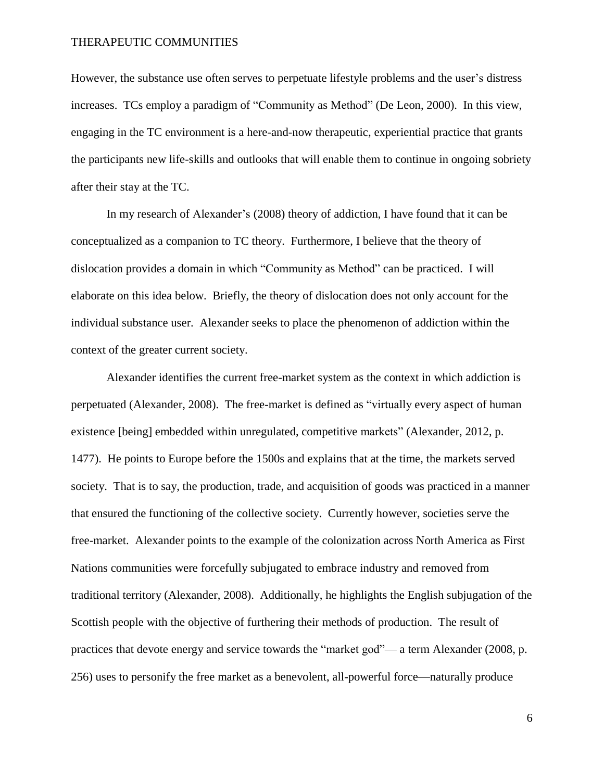However, the substance use often serves to perpetuate lifestyle problems and the user's distress increases. TCs employ a paradigm of "Community as Method" (De Leon, 2000). In this view, engaging in the TC environment is a here-and-now therapeutic, experiential practice that grants the participants new life-skills and outlooks that will enable them to continue in ongoing sobriety after their stay at the TC.

In my research of Alexander's (2008) theory of addiction, I have found that it can be conceptualized as a companion to TC theory. Furthermore, I believe that the theory of dislocation provides a domain in which "Community as Method" can be practiced. I will elaborate on this idea below. Briefly, the theory of dislocation does not only account for the individual substance user. Alexander seeks to place the phenomenon of addiction within the context of the greater current society.

Alexander identifies the current free-market system as the context in which addiction is perpetuated (Alexander, 2008). The free-market is defined as "virtually every aspect of human existence [being] embedded within unregulated, competitive markets" (Alexander, 2012, p. 1477). He points to Europe before the 1500s and explains that at the time, the markets served society. That is to say, the production, trade, and acquisition of goods was practiced in a manner that ensured the functioning of the collective society. Currently however, societies serve the free-market. Alexander points to the example of the colonization across North America as First Nations communities were forcefully subjugated to embrace industry and removed from traditional territory (Alexander, 2008). Additionally, he highlights the English subjugation of the Scottish people with the objective of furthering their methods of production. The result of practices that devote energy and service towards the "market god"— a term Alexander (2008, p. 256) uses to personify the free market as a benevolent, all-powerful force—naturally produce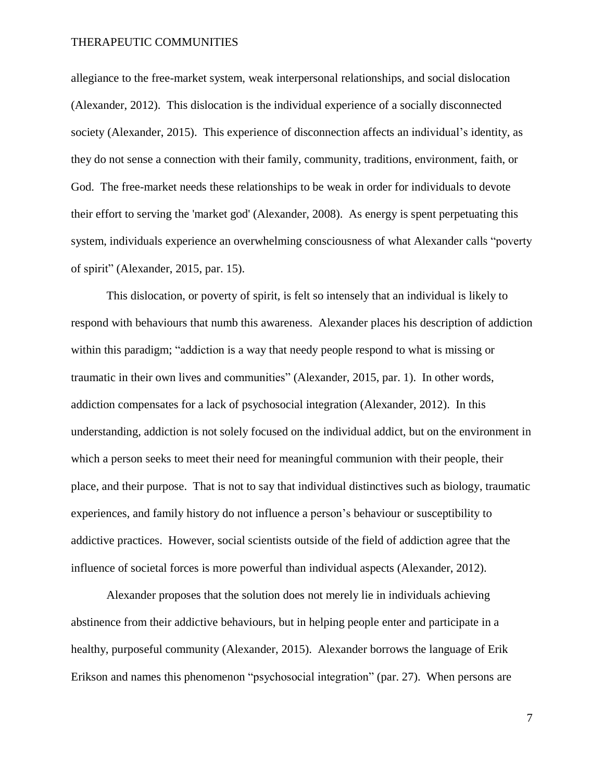allegiance to the free-market system, weak interpersonal relationships, and social dislocation (Alexander, 2012). This dislocation is the individual experience of a socially disconnected society (Alexander, 2015). This experience of disconnection affects an individual's identity, as they do not sense a connection with their family, community, traditions, environment, faith, or God. The free-market needs these relationships to be weak in order for individuals to devote their effort to serving the 'market god' (Alexander, 2008). As energy is spent perpetuating this system, individuals experience an overwhelming consciousness of what Alexander calls "poverty of spirit" (Alexander, 2015, par. 15).

This dislocation, or poverty of spirit, is felt so intensely that an individual is likely to respond with behaviours that numb this awareness. Alexander places his description of addiction within this paradigm; "addiction is a way that needy people respond to what is missing or traumatic in their own lives and communities" (Alexander, 2015, par. 1). In other words, addiction compensates for a lack of psychosocial integration (Alexander, 2012). In this understanding, addiction is not solely focused on the individual addict, but on the environment in which a person seeks to meet their need for meaningful communion with their people, their place, and their purpose. That is not to say that individual distinctives such as biology, traumatic experiences, and family history do not influence a person's behaviour or susceptibility to addictive practices. However, social scientists outside of the field of addiction agree that the influence of societal forces is more powerful than individual aspects (Alexander, 2012).

Alexander proposes that the solution does not merely lie in individuals achieving abstinence from their addictive behaviours, but in helping people enter and participate in a healthy, purposeful community (Alexander, 2015). Alexander borrows the language of Erik Erikson and names this phenomenon "psychosocial integration" (par. 27). When persons are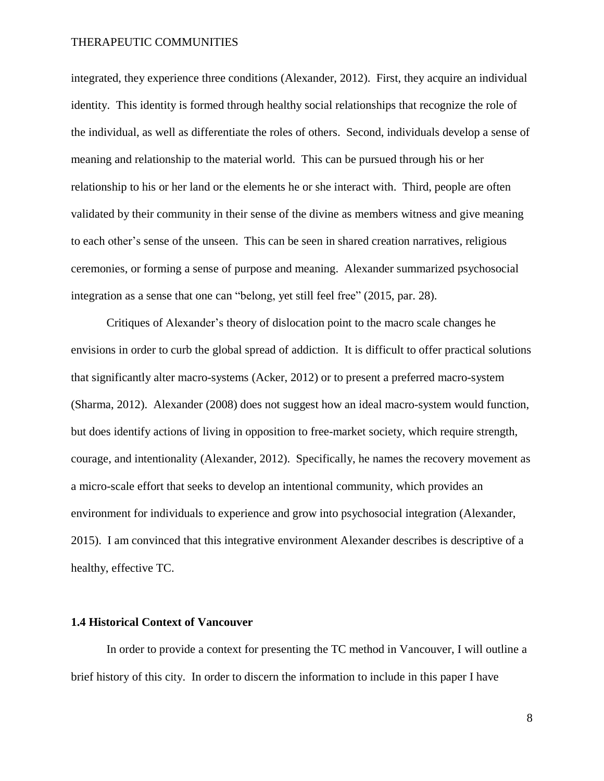integrated, they experience three conditions (Alexander, 2012). First, they acquire an individual identity. This identity is formed through healthy social relationships that recognize the role of the individual, as well as differentiate the roles of others. Second, individuals develop a sense of meaning and relationship to the material world. This can be pursued through his or her relationship to his or her land or the elements he or she interact with. Third, people are often validated by their community in their sense of the divine as members witness and give meaning to each other's sense of the unseen. This can be seen in shared creation narratives, religious ceremonies, or forming a sense of purpose and meaning. Alexander summarized psychosocial integration as a sense that one can "belong, yet still feel free" (2015, par. 28).

Critiques of Alexander's theory of dislocation point to the macro scale changes he envisions in order to curb the global spread of addiction. It is difficult to offer practical solutions that significantly alter macro-systems (Acker, 2012) or to present a preferred macro-system (Sharma, 2012). Alexander (2008) does not suggest how an ideal macro-system would function, but does identify actions of living in opposition to free-market society, which require strength, courage, and intentionality (Alexander, 2012). Specifically, he names the recovery movement as a micro-scale effort that seeks to develop an intentional community, which provides an environment for individuals to experience and grow into psychosocial integration (Alexander, 2015). I am convinced that this integrative environment Alexander describes is descriptive of a healthy, effective TC.

### **1.4 Historical Context of Vancouver**

In order to provide a context for presenting the TC method in Vancouver, I will outline a brief history of this city. In order to discern the information to include in this paper I have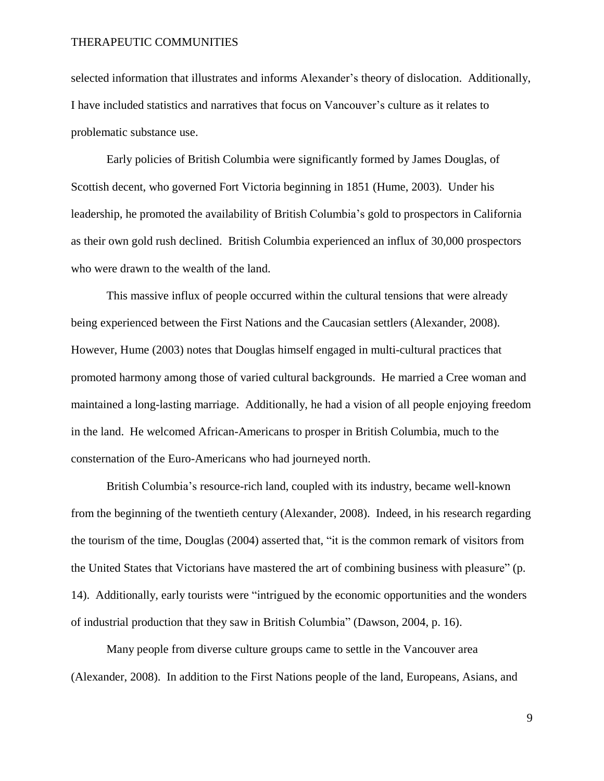selected information that illustrates and informs Alexander's theory of dislocation. Additionally, I have included statistics and narratives that focus on Vancouver's culture as it relates to problematic substance use.

Early policies of British Columbia were significantly formed by James Douglas, of Scottish decent, who governed Fort Victoria beginning in 1851 (Hume, 2003). Under his leadership, he promoted the availability of British Columbia's gold to prospectors in California as their own gold rush declined. British Columbia experienced an influx of 30,000 prospectors who were drawn to the wealth of the land.

This massive influx of people occurred within the cultural tensions that were already being experienced between the First Nations and the Caucasian settlers (Alexander, 2008). However, Hume (2003) notes that Douglas himself engaged in multi-cultural practices that promoted harmony among those of varied cultural backgrounds. He married a Cree woman and maintained a long-lasting marriage. Additionally, he had a vision of all people enjoying freedom in the land. He welcomed African-Americans to prosper in British Columbia, much to the consternation of the Euro-Americans who had journeyed north.

British Columbia's resource-rich land, coupled with its industry, became well-known from the beginning of the twentieth century (Alexander, 2008). Indeed, in his research regarding the tourism of the time, Douglas (2004) asserted that, "it is the common remark of visitors from the United States that Victorians have mastered the art of combining business with pleasure" (p. 14). Additionally, early tourists were "intrigued by the economic opportunities and the wonders of industrial production that they saw in British Columbia" (Dawson, 2004, p. 16).

Many people from diverse culture groups came to settle in the Vancouver area (Alexander, 2008). In addition to the First Nations people of the land, Europeans, Asians, and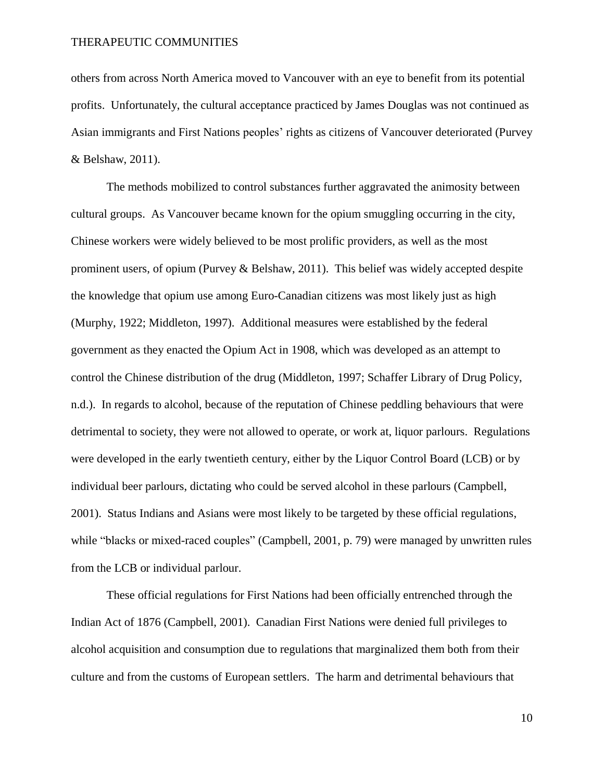others from across North America moved to Vancouver with an eye to benefit from its potential profits. Unfortunately, the cultural acceptance practiced by James Douglas was not continued as Asian immigrants and First Nations peoples' rights as citizens of Vancouver deteriorated (Purvey & Belshaw, 2011).

The methods mobilized to control substances further aggravated the animosity between cultural groups. As Vancouver became known for the opium smuggling occurring in the city, Chinese workers were widely believed to be most prolific providers, as well as the most prominent users, of opium (Purvey & Belshaw, 2011). This belief was widely accepted despite the knowledge that opium use among Euro-Canadian citizens was most likely just as high (Murphy, 1922; Middleton, 1997). Additional measures were established by the federal government as they enacted the Opium Act in 1908, which was developed as an attempt to control the Chinese distribution of the drug (Middleton, 1997; Schaffer Library of Drug Policy, n.d.). In regards to alcohol, because of the reputation of Chinese peddling behaviours that were detrimental to society, they were not allowed to operate, or work at, liquor parlours. Regulations were developed in the early twentieth century, either by the Liquor Control Board (LCB) or by individual beer parlours, dictating who could be served alcohol in these parlours (Campbell, 2001). Status Indians and Asians were most likely to be targeted by these official regulations, while "blacks or mixed-raced couples" (Campbell, 2001, p. 79) were managed by unwritten rules from the LCB or individual parlour.

These official regulations for First Nations had been officially entrenched through the Indian Act of 1876 (Campbell, 2001). Canadian First Nations were denied full privileges to alcohol acquisition and consumption due to regulations that marginalized them both from their culture and from the customs of European settlers. The harm and detrimental behaviours that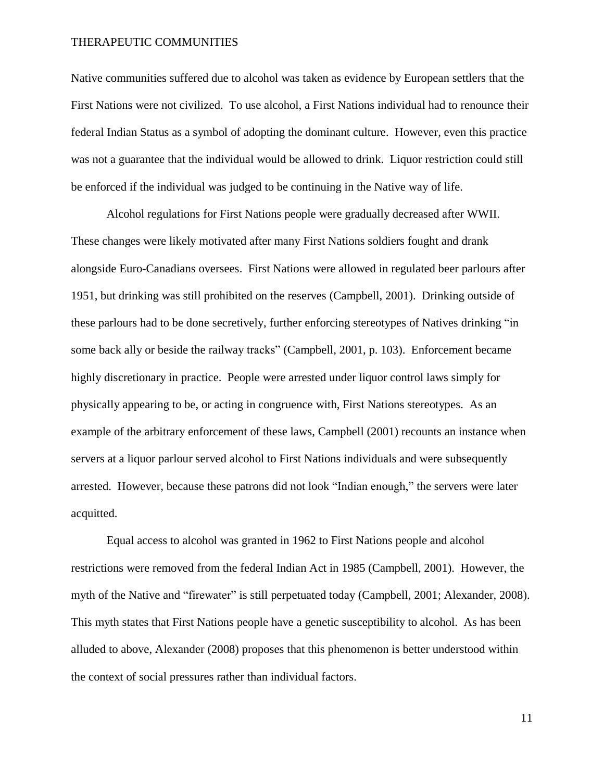Native communities suffered due to alcohol was taken as evidence by European settlers that the First Nations were not civilized. To use alcohol, a First Nations individual had to renounce their federal Indian Status as a symbol of adopting the dominant culture. However, even this practice was not a guarantee that the individual would be allowed to drink. Liquor restriction could still be enforced if the individual was judged to be continuing in the Native way of life.

Alcohol regulations for First Nations people were gradually decreased after WWII. These changes were likely motivated after many First Nations soldiers fought and drank alongside Euro-Canadians oversees. First Nations were allowed in regulated beer parlours after 1951, but drinking was still prohibited on the reserves (Campbell, 2001). Drinking outside of these parlours had to be done secretively, further enforcing stereotypes of Natives drinking "in some back ally or beside the railway tracks" (Campbell, 2001, p. 103). Enforcement became highly discretionary in practice. People were arrested under liquor control laws simply for physically appearing to be, or acting in congruence with, First Nations stereotypes. As an example of the arbitrary enforcement of these laws, Campbell (2001) recounts an instance when servers at a liquor parlour served alcohol to First Nations individuals and were subsequently arrested. However, because these patrons did not look "Indian enough," the servers were later acquitted.

Equal access to alcohol was granted in 1962 to First Nations people and alcohol restrictions were removed from the federal Indian Act in 1985 (Campbell, 2001). However, the myth of the Native and "firewater" is still perpetuated today (Campbell, 2001; Alexander, 2008). This myth states that First Nations people have a genetic susceptibility to alcohol. As has been alluded to above, Alexander (2008) proposes that this phenomenon is better understood within the context of social pressures rather than individual factors.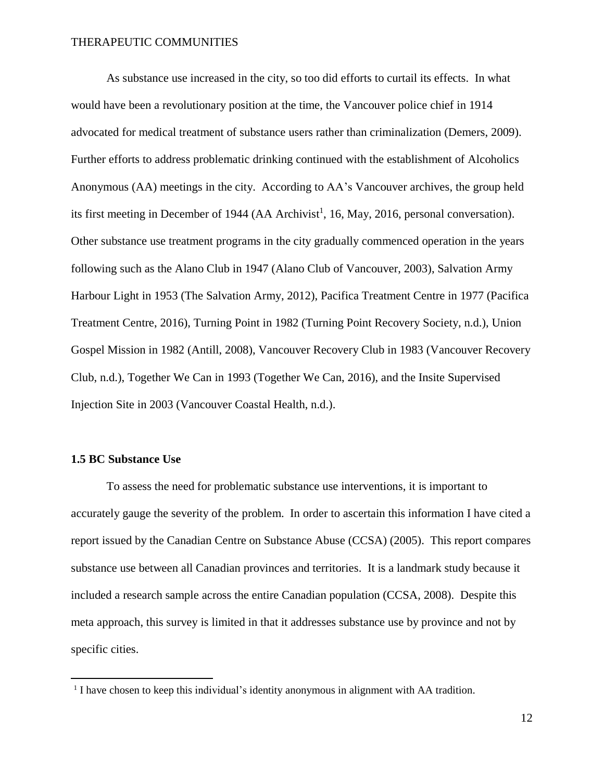As substance use increased in the city, so too did efforts to curtail its effects. In what would have been a revolutionary position at the time, the Vancouver police chief in 1914 advocated for medical treatment of substance users rather than criminalization (Demers, 2009). Further efforts to address problematic drinking continued with the establishment of Alcoholics Anonymous (AA) meetings in the city. According to AA's Vancouver archives, the group held its first meeting in December of 1944 (AA Archivist<sup>1</sup>, 16, May, 2016, personal conversation). Other substance use treatment programs in the city gradually commenced operation in the years following such as the Alano Club in 1947 (Alano Club of Vancouver, 2003), Salvation Army Harbour Light in 1953 (The Salvation Army, 2012), Pacifica Treatment Centre in 1977 (Pacifica Treatment Centre, 2016), Turning Point in 1982 (Turning Point Recovery Society, n.d.), Union Gospel Mission in 1982 (Antill, 2008), Vancouver Recovery Club in 1983 (Vancouver Recovery Club, n.d.), Together We Can in 1993 (Together We Can, 2016), and the Insite Supervised Injection Site in 2003 (Vancouver Coastal Health, n.d.).

### **1.5 BC Substance Use**

To assess the need for problematic substance use interventions, it is important to accurately gauge the severity of the problem. In order to ascertain this information I have cited a report issued by the Canadian Centre on Substance Abuse (CCSA) (2005). This report compares substance use between all Canadian provinces and territories. It is a landmark study because it included a research sample across the entire Canadian population (CCSA, 2008). Despite this meta approach, this survey is limited in that it addresses substance use by province and not by specific cities.

 1 I have chosen to keep this individual's identity anonymous in alignment with AA tradition.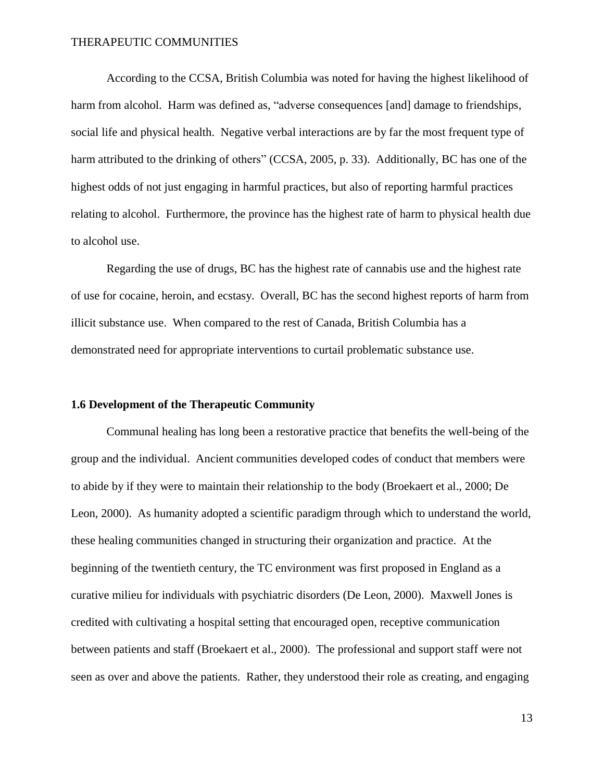According to the CCSA, British Columbia was noted for having the highest likelihood of harm from alcohol. Harm was defined as, "adverse consequences [and] damage to friendships, social life and physical health. Negative verbal interactions are by far the most frequent type of harm attributed to the drinking of others" (CCSA, 2005, p. 33). Additionally, BC has one of the highest odds of not just engaging in harmful practices, but also of reporting harmful practices relating to alcohol. Furthermore, the province has the highest rate of harm to physical health due to alcohol use.

Regarding the use of drugs, BC has the highest rate of cannabis use and the highest rate of use for cocaine, heroin, and ecstasy. Overall, BC has the second highest reports of harm from illicit substance use. When compared to the rest of Canada, British Columbia has a demonstrated need for appropriate interventions to curtail problematic substance use.

#### **1.6 Development of the Therapeutic Community**

Communal healing has long been a restorative practice that benefits the well-being of the group and the individual. Ancient communities developed codes of conduct that members were to abide by if they were to maintain their relationship to the body (Broekaert et al., 2000; De Leon, 2000). As humanity adopted a scientific paradigm through which to understand the world, these healing communities changed in structuring their organization and practice. At the beginning of the twentieth century, the TC environment was first proposed in England as a curative milieu for individuals with psychiatric disorders (De Leon, 2000). Maxwell Jones is credited with cultivating a hospital setting that encouraged open, receptive communication between patients and staff (Broekaert et al., 2000). The professional and support staff were not seen as over and above the patients. Rather, they understood their role as creating, and engaging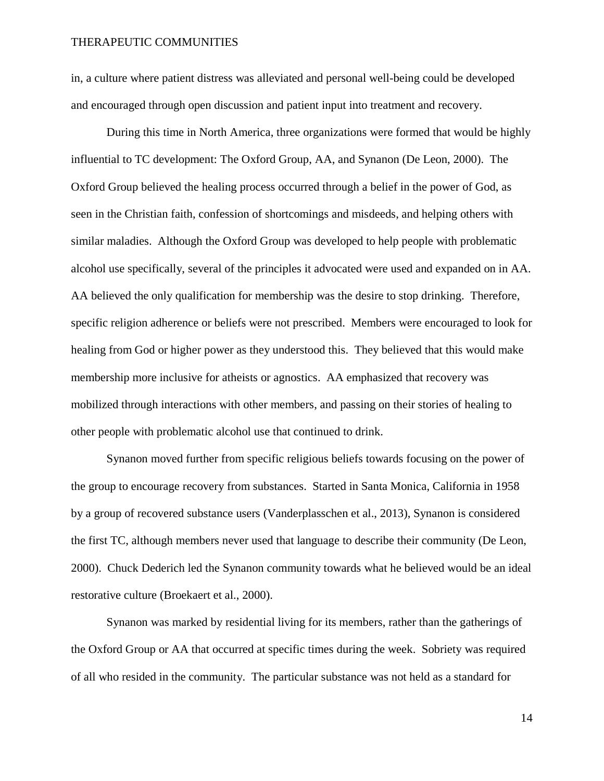in, a culture where patient distress was alleviated and personal well-being could be developed and encouraged through open discussion and patient input into treatment and recovery.

During this time in North America, three organizations were formed that would be highly influential to TC development: The Oxford Group, AA, and Synanon (De Leon, 2000). The Oxford Group believed the healing process occurred through a belief in the power of God, as seen in the Christian faith, confession of shortcomings and misdeeds, and helping others with similar maladies. Although the Oxford Group was developed to help people with problematic alcohol use specifically, several of the principles it advocated were used and expanded on in AA. AA believed the only qualification for membership was the desire to stop drinking. Therefore, specific religion adherence or beliefs were not prescribed. Members were encouraged to look for healing from God or higher power as they understood this. They believed that this would make membership more inclusive for atheists or agnostics. AA emphasized that recovery was mobilized through interactions with other members, and passing on their stories of healing to other people with problematic alcohol use that continued to drink.

Synanon moved further from specific religious beliefs towards focusing on the power of the group to encourage recovery from substances. Started in Santa Monica, California in 1958 by a group of recovered substance users (Vanderplasschen et al., 2013), Synanon is considered the first TC, although members never used that language to describe their community (De Leon, 2000). Chuck Dederich led the Synanon community towards what he believed would be an ideal restorative culture (Broekaert et al., 2000).

Synanon was marked by residential living for its members, rather than the gatherings of the Oxford Group or AA that occurred at specific times during the week. Sobriety was required of all who resided in the community. The particular substance was not held as a standard for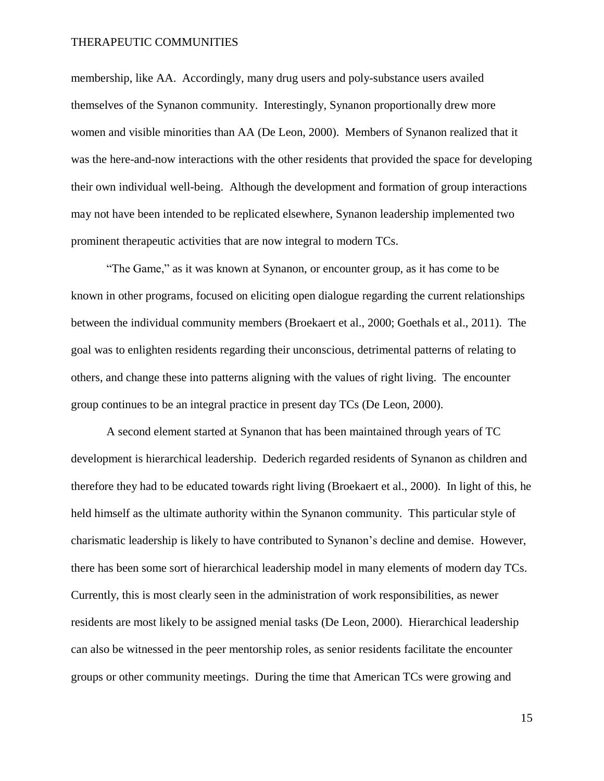membership, like AA. Accordingly, many drug users and poly-substance users availed themselves of the Synanon community. Interestingly, Synanon proportionally drew more women and visible minorities than AA (De Leon, 2000). Members of Synanon realized that it was the here-and-now interactions with the other residents that provided the space for developing their own individual well-being. Although the development and formation of group interactions may not have been intended to be replicated elsewhere, Synanon leadership implemented two prominent therapeutic activities that are now integral to modern TCs.

"The Game," as it was known at Synanon, or encounter group, as it has come to be known in other programs, focused on eliciting open dialogue regarding the current relationships between the individual community members (Broekaert et al., 2000; Goethals et al., 2011). The goal was to enlighten residents regarding their unconscious, detrimental patterns of relating to others, and change these into patterns aligning with the values of right living. The encounter group continues to be an integral practice in present day TCs (De Leon, 2000).

A second element started at Synanon that has been maintained through years of TC development is hierarchical leadership. Dederich regarded residents of Synanon as children and therefore they had to be educated towards right living (Broekaert et al., 2000). In light of this, he held himself as the ultimate authority within the Synanon community. This particular style of charismatic leadership is likely to have contributed to Synanon's decline and demise. However, there has been some sort of hierarchical leadership model in many elements of modern day TCs. Currently, this is most clearly seen in the administration of work responsibilities, as newer residents are most likely to be assigned menial tasks (De Leon, 2000). Hierarchical leadership can also be witnessed in the peer mentorship roles, as senior residents facilitate the encounter groups or other community meetings. During the time that American TCs were growing and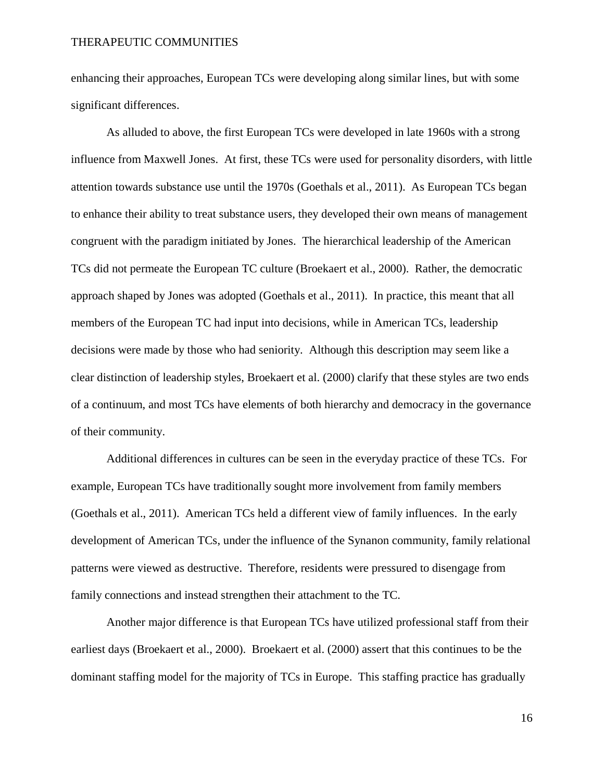enhancing their approaches, European TCs were developing along similar lines, but with some significant differences.

As alluded to above, the first European TCs were developed in late 1960s with a strong influence from Maxwell Jones. At first, these TCs were used for personality disorders, with little attention towards substance use until the 1970s (Goethals et al., 2011). As European TCs began to enhance their ability to treat substance users, they developed their own means of management congruent with the paradigm initiated by Jones. The hierarchical leadership of the American TCs did not permeate the European TC culture (Broekaert et al., 2000). Rather, the democratic approach shaped by Jones was adopted (Goethals et al., 2011). In practice, this meant that all members of the European TC had input into decisions, while in American TCs, leadership decisions were made by those who had seniority. Although this description may seem like a clear distinction of leadership styles, Broekaert et al. (2000) clarify that these styles are two ends of a continuum, and most TCs have elements of both hierarchy and democracy in the governance of their community.

Additional differences in cultures can be seen in the everyday practice of these TCs. For example, European TCs have traditionally sought more involvement from family members (Goethals et al., 2011). American TCs held a different view of family influences. In the early development of American TCs, under the influence of the Synanon community, family relational patterns were viewed as destructive. Therefore, residents were pressured to disengage from family connections and instead strengthen their attachment to the TC.

Another major difference is that European TCs have utilized professional staff from their earliest days (Broekaert et al., 2000). Broekaert et al. (2000) assert that this continues to be the dominant staffing model for the majority of TCs in Europe. This staffing practice has gradually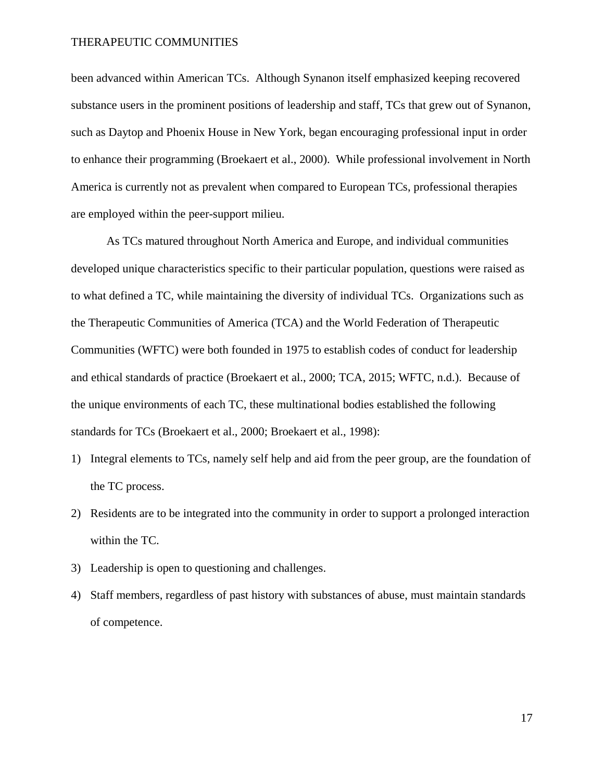been advanced within American TCs. Although Synanon itself emphasized keeping recovered substance users in the prominent positions of leadership and staff, TCs that grew out of Synanon, such as Daytop and Phoenix House in New York, began encouraging professional input in order to enhance their programming (Broekaert et al., 2000). While professional involvement in North America is currently not as prevalent when compared to European TCs, professional therapies are employed within the peer-support milieu.

As TCs matured throughout North America and Europe, and individual communities developed unique characteristics specific to their particular population, questions were raised as to what defined a TC, while maintaining the diversity of individual TCs. Organizations such as the Therapeutic Communities of America (TCA) and the World Federation of Therapeutic Communities (WFTC) were both founded in 1975 to establish codes of conduct for leadership and ethical standards of practice (Broekaert et al., 2000; TCA, 2015; WFTC, n.d.). Because of the unique environments of each TC, these multinational bodies established the following standards for TCs (Broekaert et al., 2000; Broekaert et al., 1998):

- 1) Integral elements to TCs, namely self help and aid from the peer group, are the foundation of the TC process.
- 2) Residents are to be integrated into the community in order to support a prolonged interaction within the TC.
- 3) Leadership is open to questioning and challenges.
- 4) Staff members, regardless of past history with substances of abuse, must maintain standards of competence.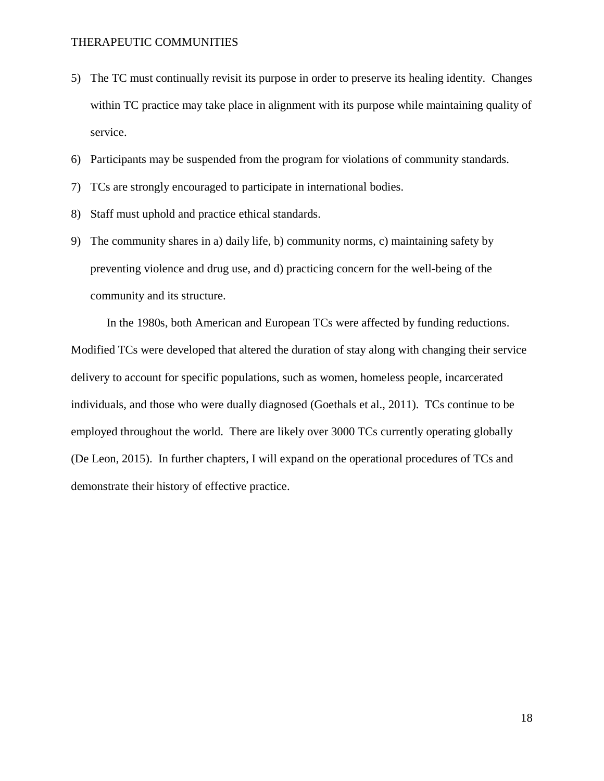- 5) The TC must continually revisit its purpose in order to preserve its healing identity. Changes within TC practice may take place in alignment with its purpose while maintaining quality of service.
- 6) Participants may be suspended from the program for violations of community standards.
- 7) TCs are strongly encouraged to participate in international bodies.
- 8) Staff must uphold and practice ethical standards.
- 9) The community shares in a) daily life, b) community norms, c) maintaining safety by preventing violence and drug use, and d) practicing concern for the well-being of the community and its structure.

In the 1980s, both American and European TCs were affected by funding reductions. Modified TCs were developed that altered the duration of stay along with changing their service delivery to account for specific populations, such as women, homeless people, incarcerated individuals, and those who were dually diagnosed (Goethals et al., 2011). TCs continue to be employed throughout the world. There are likely over 3000 TCs currently operating globally (De Leon, 2015). In further chapters, I will expand on the operational procedures of TCs and demonstrate their history of effective practice.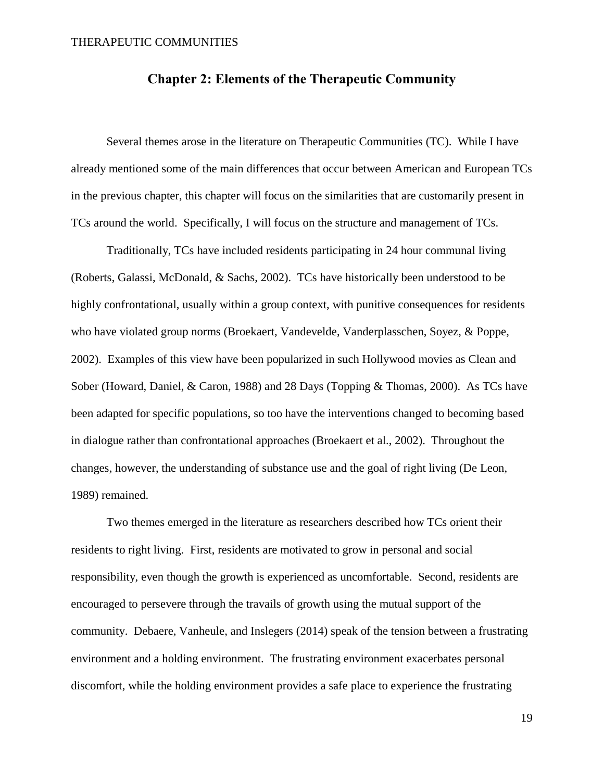### **Chapter 2: Elements of the Therapeutic Community**

Several themes arose in the literature on Therapeutic Communities (TC). While I have already mentioned some of the main differences that occur between American and European TCs in the previous chapter, this chapter will focus on the similarities that are customarily present in TCs around the world. Specifically, I will focus on the structure and management of TCs.

Traditionally, TCs have included residents participating in 24 hour communal living (Roberts, Galassi, McDonald, & Sachs, 2002). TCs have historically been understood to be highly confrontational, usually within a group context, with punitive consequences for residents who have violated group norms (Broekaert, Vandevelde, Vanderplasschen, Soyez, & Poppe, 2002). Examples of this view have been popularized in such Hollywood movies as Clean and Sober (Howard, Daniel, & Caron, 1988) and 28 Days (Topping & Thomas, 2000). As TCs have been adapted for specific populations, so too have the interventions changed to becoming based in dialogue rather than confrontational approaches (Broekaert et al., 2002). Throughout the changes, however, the understanding of substance use and the goal of right living (De Leon, 1989) remained.

Two themes emerged in the literature as researchers described how TCs orient their residents to right living. First, residents are motivated to grow in personal and social responsibility, even though the growth is experienced as uncomfortable. Second, residents are encouraged to persevere through the travails of growth using the mutual support of the community. Debaere, Vanheule, and Inslegers (2014) speak of the tension between a frustrating environment and a holding environment. The frustrating environment exacerbates personal discomfort, while the holding environment provides a safe place to experience the frustrating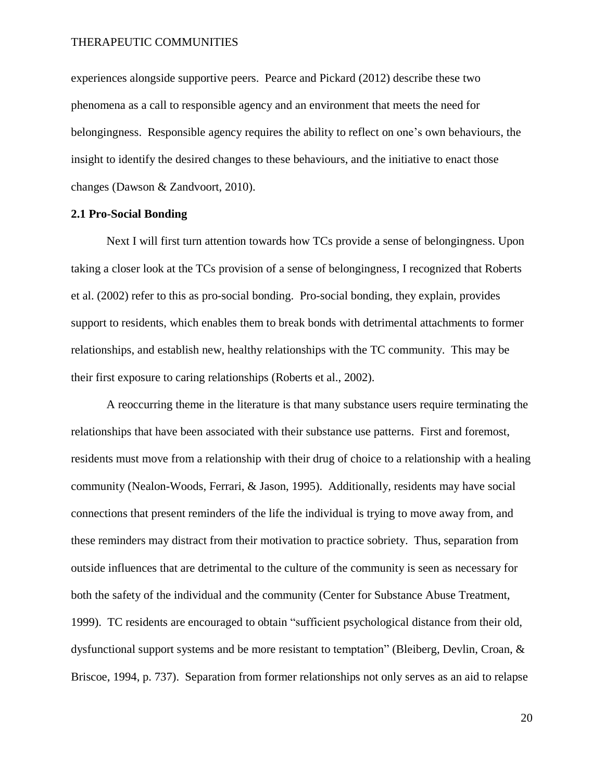experiences alongside supportive peers. Pearce and Pickard (2012) describe these two phenomena as a call to responsible agency and an environment that meets the need for belongingness. Responsible agency requires the ability to reflect on one's own behaviours, the insight to identify the desired changes to these behaviours, and the initiative to enact those changes (Dawson & Zandvoort, 2010).

### **2.1 Pro-Social Bonding**

Next I will first turn attention towards how TCs provide a sense of belongingness. Upon taking a closer look at the TCs provision of a sense of belongingness, I recognized that Roberts et al. (2002) refer to this as pro-social bonding. Pro-social bonding, they explain, provides support to residents, which enables them to break bonds with detrimental attachments to former relationships, and establish new, healthy relationships with the TC community. This may be their first exposure to caring relationships (Roberts et al., 2002).

A reoccurring theme in the literature is that many substance users require terminating the relationships that have been associated with their substance use patterns. First and foremost, residents must move from a relationship with their drug of choice to a relationship with a healing community (Nealon-Woods, Ferrari, & Jason, 1995). Additionally, residents may have social connections that present reminders of the life the individual is trying to move away from, and these reminders may distract from their motivation to practice sobriety. Thus, separation from outside influences that are detrimental to the culture of the community is seen as necessary for both the safety of the individual and the community (Center for Substance Abuse Treatment, 1999). TC residents are encouraged to obtain "sufficient psychological distance from their old, dysfunctional support systems and be more resistant to temptation" (Bleiberg, Devlin, Croan, & Briscoe, 1994, p. 737). Separation from former relationships not only serves as an aid to relapse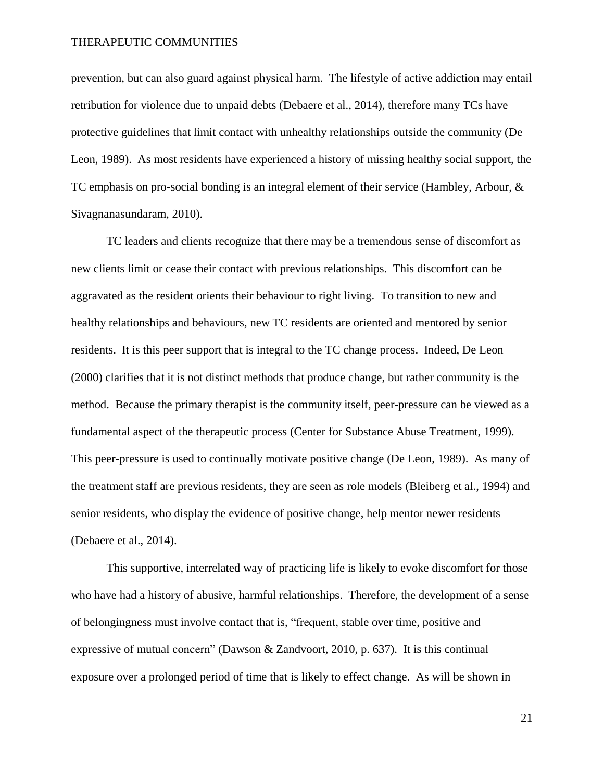prevention, but can also guard against physical harm. The lifestyle of active addiction may entail retribution for violence due to unpaid debts (Debaere et al., 2014), therefore many TCs have protective guidelines that limit contact with unhealthy relationships outside the community (De Leon, 1989). As most residents have experienced a history of missing healthy social support, the TC emphasis on pro-social bonding is an integral element of their service (Hambley, Arbour, & Sivagnanasundaram, 2010).

TC leaders and clients recognize that there may be a tremendous sense of discomfort as new clients limit or cease their contact with previous relationships. This discomfort can be aggravated as the resident orients their behaviour to right living. To transition to new and healthy relationships and behaviours, new TC residents are oriented and mentored by senior residents. It is this peer support that is integral to the TC change process. Indeed, De Leon (2000) clarifies that it is not distinct methods that produce change, but rather community is the method. Because the primary therapist is the community itself, peer-pressure can be viewed as a fundamental aspect of the therapeutic process (Center for Substance Abuse Treatment, 1999). This peer-pressure is used to continually motivate positive change (De Leon, 1989). As many of the treatment staff are previous residents, they are seen as role models (Bleiberg et al., 1994) and senior residents, who display the evidence of positive change, help mentor newer residents (Debaere et al., 2014).

This supportive, interrelated way of practicing life is likely to evoke discomfort for those who have had a history of abusive, harmful relationships. Therefore, the development of a sense of belongingness must involve contact that is, "frequent, stable over time, positive and expressive of mutual concern" (Dawson & Zandvoort, 2010, p. 637). It is this continual exposure over a prolonged period of time that is likely to effect change. As will be shown in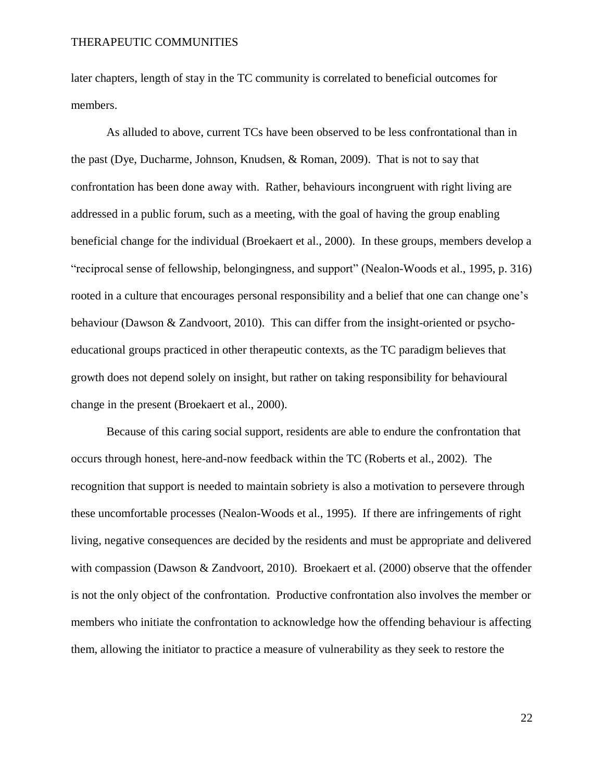later chapters, length of stay in the TC community is correlated to beneficial outcomes for members.

As alluded to above, current TCs have been observed to be less confrontational than in the past (Dye, Ducharme, Johnson, Knudsen, & Roman, 2009). That is not to say that confrontation has been done away with. Rather, behaviours incongruent with right living are addressed in a public forum, such as a meeting, with the goal of having the group enabling beneficial change for the individual (Broekaert et al., 2000). In these groups, members develop a "reciprocal sense of fellowship, belongingness, and support" (Nealon-Woods et al., 1995, p. 316) rooted in a culture that encourages personal responsibility and a belief that one can change one's behaviour (Dawson & Zandvoort, 2010). This can differ from the insight-oriented or psychoeducational groups practiced in other therapeutic contexts, as the TC paradigm believes that growth does not depend solely on insight, but rather on taking responsibility for behavioural change in the present (Broekaert et al., 2000).

Because of this caring social support, residents are able to endure the confrontation that occurs through honest, here-and-now feedback within the TC (Roberts et al., 2002). The recognition that support is needed to maintain sobriety is also a motivation to persevere through these uncomfortable processes (Nealon-Woods et al., 1995). If there are infringements of right living, negative consequences are decided by the residents and must be appropriate and delivered with compassion (Dawson & Zandvoort, 2010). Broekaert et al. (2000) observe that the offender is not the only object of the confrontation. Productive confrontation also involves the member or members who initiate the confrontation to acknowledge how the offending behaviour is affecting them, allowing the initiator to practice a measure of vulnerability as they seek to restore the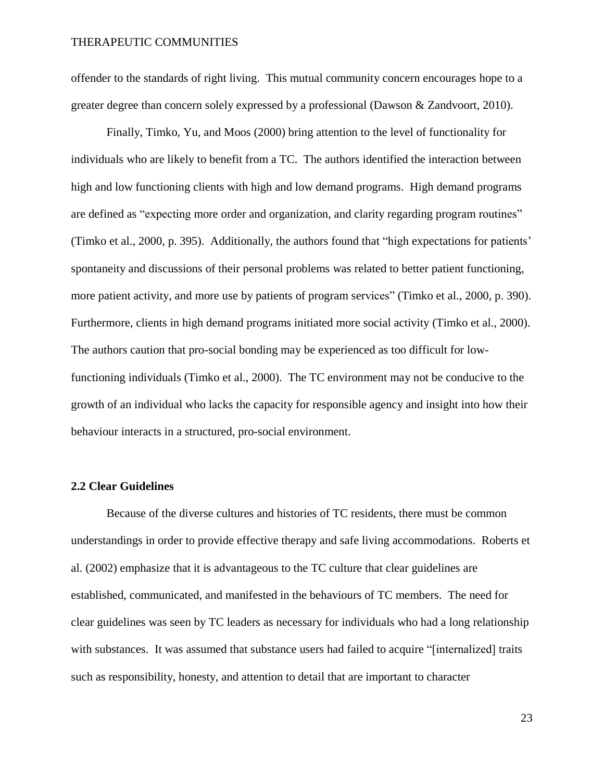offender to the standards of right living. This mutual community concern encourages hope to a greater degree than concern solely expressed by a professional (Dawson & Zandvoort, 2010).

Finally, Timko, Yu, and Moos (2000) bring attention to the level of functionality for individuals who are likely to benefit from a TC. The authors identified the interaction between high and low functioning clients with high and low demand programs. High demand programs are defined as "expecting more order and organization, and clarity regarding program routines" (Timko et al., 2000, p. 395). Additionally, the authors found that "high expectations for patients' spontaneity and discussions of their personal problems was related to better patient functioning, more patient activity, and more use by patients of program services" (Timko et al., 2000, p. 390). Furthermore, clients in high demand programs initiated more social activity (Timko et al., 2000). The authors caution that pro-social bonding may be experienced as too difficult for lowfunctioning individuals (Timko et al., 2000). The TC environment may not be conducive to the growth of an individual who lacks the capacity for responsible agency and insight into how their behaviour interacts in a structured, pro-social environment.

### **2.2 Clear Guidelines**

Because of the diverse cultures and histories of TC residents, there must be common understandings in order to provide effective therapy and safe living accommodations. Roberts et al. (2002) emphasize that it is advantageous to the TC culture that clear guidelines are established, communicated, and manifested in the behaviours of TC members. The need for clear guidelines was seen by TC leaders as necessary for individuals who had a long relationship with substances. It was assumed that substance users had failed to acquire "[internalized] traits such as responsibility, honesty, and attention to detail that are important to character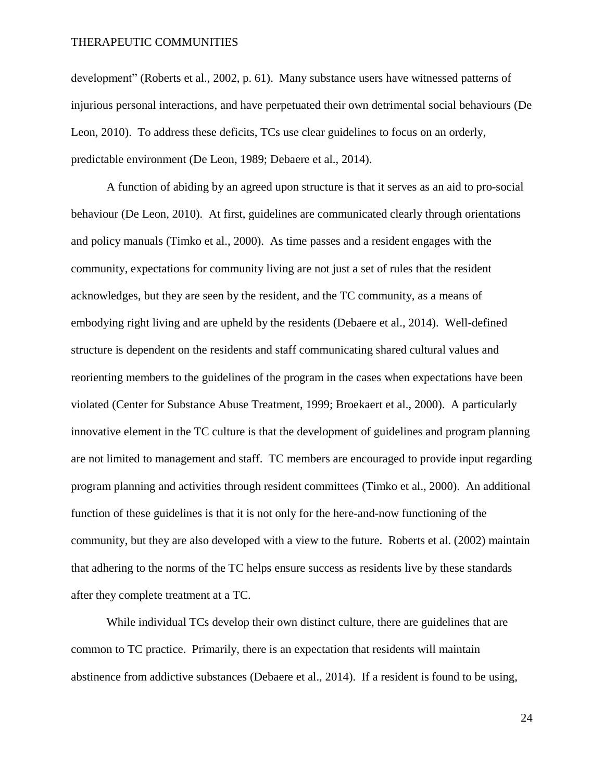development" (Roberts et al., 2002, p. 61). Many substance users have witnessed patterns of injurious personal interactions, and have perpetuated their own detrimental social behaviours (De Leon, 2010). To address these deficits, TCs use clear guidelines to focus on an orderly, predictable environment (De Leon, 1989; Debaere et al., 2014).

A function of abiding by an agreed upon structure is that it serves as an aid to pro-social behaviour (De Leon, 2010). At first, guidelines are communicated clearly through orientations and policy manuals (Timko et al., 2000). As time passes and a resident engages with the community, expectations for community living are not just a set of rules that the resident acknowledges, but they are seen by the resident, and the TC community, as a means of embodying right living and are upheld by the residents (Debaere et al., 2014). Well-defined structure is dependent on the residents and staff communicating shared cultural values and reorienting members to the guidelines of the program in the cases when expectations have been violated (Center for Substance Abuse Treatment, 1999; Broekaert et al., 2000). A particularly innovative element in the TC culture is that the development of guidelines and program planning are not limited to management and staff. TC members are encouraged to provide input regarding program planning and activities through resident committees (Timko et al., 2000). An additional function of these guidelines is that it is not only for the here-and-now functioning of the community, but they are also developed with a view to the future. Roberts et al. (2002) maintain that adhering to the norms of the TC helps ensure success as residents live by these standards after they complete treatment at a TC.

While individual TCs develop their own distinct culture, there are guidelines that are common to TC practice. Primarily, there is an expectation that residents will maintain abstinence from addictive substances (Debaere et al., 2014). If a resident is found to be using,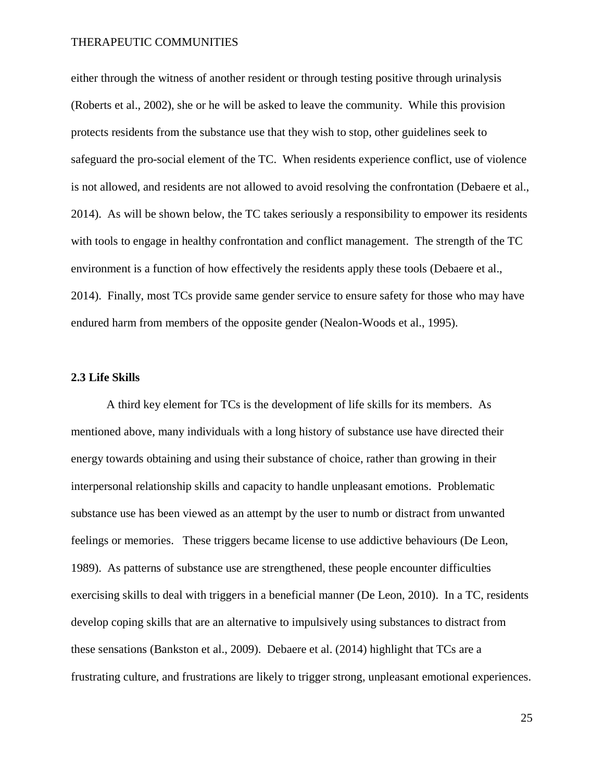either through the witness of another resident or through testing positive through urinalysis (Roberts et al., 2002), she or he will be asked to leave the community. While this provision protects residents from the substance use that they wish to stop, other guidelines seek to safeguard the pro-social element of the TC. When residents experience conflict, use of violence is not allowed, and residents are not allowed to avoid resolving the confrontation (Debaere et al., 2014). As will be shown below, the TC takes seriously a responsibility to empower its residents with tools to engage in healthy confrontation and conflict management. The strength of the TC environment is a function of how effectively the residents apply these tools (Debaere et al., 2014). Finally, most TCs provide same gender service to ensure safety for those who may have endured harm from members of the opposite gender (Nealon-Woods et al., 1995).

### **2.3 Life Skills**

A third key element for TCs is the development of life skills for its members. As mentioned above, many individuals with a long history of substance use have directed their energy towards obtaining and using their substance of choice, rather than growing in their interpersonal relationship skills and capacity to handle unpleasant emotions. Problematic substance use has been viewed as an attempt by the user to numb or distract from unwanted feelings or memories. These triggers became license to use addictive behaviours (De Leon, 1989). As patterns of substance use are strengthened, these people encounter difficulties exercising skills to deal with triggers in a beneficial manner (De Leon, 2010). In a TC, residents develop coping skills that are an alternative to impulsively using substances to distract from these sensations (Bankston et al., 2009). Debaere et al. (2014) highlight that TCs are a frustrating culture, and frustrations are likely to trigger strong, unpleasant emotional experiences.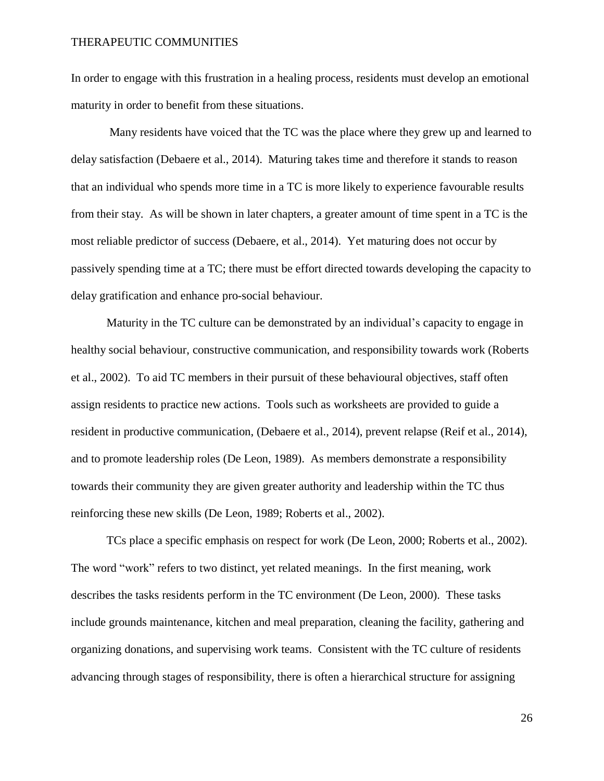In order to engage with this frustration in a healing process, residents must develop an emotional maturity in order to benefit from these situations.

Many residents have voiced that the TC was the place where they grew up and learned to delay satisfaction (Debaere et al., 2014). Maturing takes time and therefore it stands to reason that an individual who spends more time in a TC is more likely to experience favourable results from their stay. As will be shown in later chapters, a greater amount of time spent in a TC is the most reliable predictor of success (Debaere, et al., 2014). Yet maturing does not occur by passively spending time at a TC; there must be effort directed towards developing the capacity to delay gratification and enhance pro-social behaviour.

Maturity in the TC culture can be demonstrated by an individual's capacity to engage in healthy social behaviour, constructive communication, and responsibility towards work (Roberts et al., 2002). To aid TC members in their pursuit of these behavioural objectives, staff often assign residents to practice new actions. Tools such as worksheets are provided to guide a resident in productive communication, (Debaere et al., 2014), prevent relapse (Reif et al., 2014), and to promote leadership roles (De Leon, 1989). As members demonstrate a responsibility towards their community they are given greater authority and leadership within the TC thus reinforcing these new skills (De Leon, 1989; Roberts et al., 2002).

TCs place a specific emphasis on respect for work (De Leon, 2000; Roberts et al., 2002). The word "work" refers to two distinct, yet related meanings. In the first meaning, work describes the tasks residents perform in the TC environment (De Leon, 2000). These tasks include grounds maintenance, kitchen and meal preparation, cleaning the facility, gathering and organizing donations, and supervising work teams. Consistent with the TC culture of residents advancing through stages of responsibility, there is often a hierarchical structure for assigning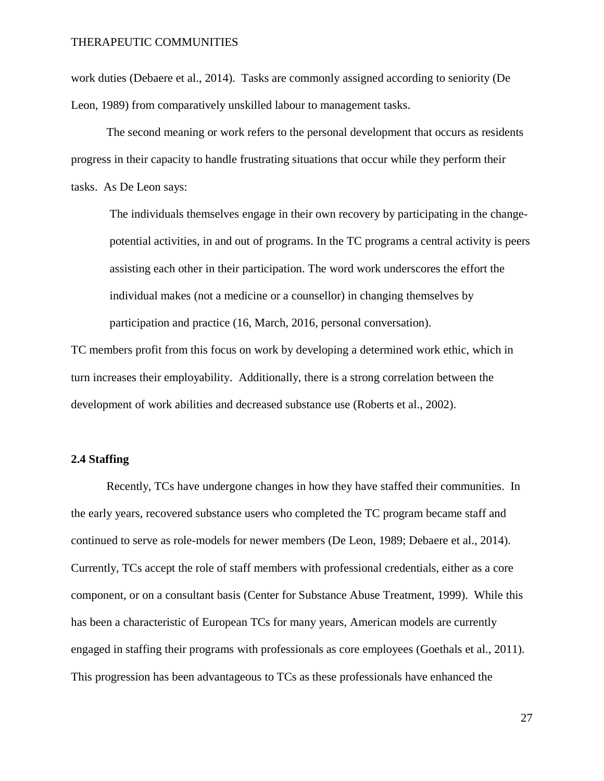work duties (Debaere et al., 2014). Tasks are commonly assigned according to seniority (De Leon, 1989) from comparatively unskilled labour to management tasks.

The second meaning or work refers to the personal development that occurs as residents progress in their capacity to handle frustrating situations that occur while they perform their tasks. As De Leon says:

The individuals themselves engage in their own recovery by participating in the changepotential activities, in and out of programs. In the TC programs a central activity is peers assisting each other in their participation. The word work underscores the effort the individual makes (not a medicine or a counsellor) in changing themselves by participation and practice (16, March, 2016, personal conversation).

TC members profit from this focus on work by developing a determined work ethic, which in turn increases their employability. Additionally, there is a strong correlation between the development of work abilities and decreased substance use (Roberts et al., 2002).

### **2.4 Staffing**

Recently, TCs have undergone changes in how they have staffed their communities. In the early years, recovered substance users who completed the TC program became staff and continued to serve as role-models for newer members (De Leon, 1989; Debaere et al., 2014). Currently, TCs accept the role of staff members with professional credentials, either as a core component, or on a consultant basis (Center for Substance Abuse Treatment, 1999). While this has been a characteristic of European TCs for many years, American models are currently engaged in staffing their programs with professionals as core employees (Goethals et al., 2011). This progression has been advantageous to TCs as these professionals have enhanced the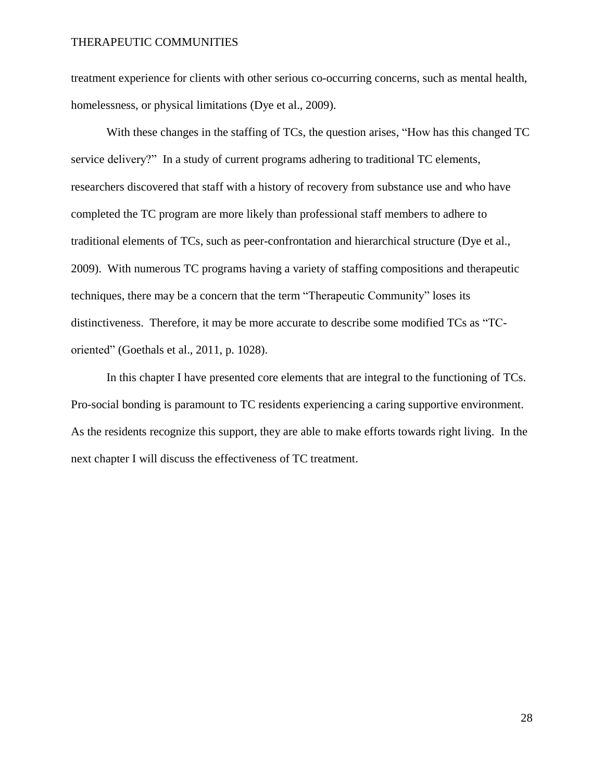treatment experience for clients with other serious co-occurring concerns, such as mental health, homelessness, or physical limitations (Dye et al., 2009).

With these changes in the staffing of TCs, the question arises, "How has this changed TC service delivery?" In a study of current programs adhering to traditional TC elements, researchers discovered that staff with a history of recovery from substance use and who have completed the TC program are more likely than professional staff members to adhere to traditional elements of TCs, such as peer-confrontation and hierarchical structure (Dye et al., 2009). With numerous TC programs having a variety of staffing compositions and therapeutic techniques, there may be a concern that the term "Therapeutic Community" loses its distinctiveness. Therefore, it may be more accurate to describe some modified TCs as "TCoriented" (Goethals et al., 2011, p. 1028).

In this chapter I have presented core elements that are integral to the functioning of TCs. Pro-social bonding is paramount to TC residents experiencing a caring supportive environment. As the residents recognize this support, they are able to make efforts towards right living. In the next chapter I will discuss the effectiveness of TC treatment.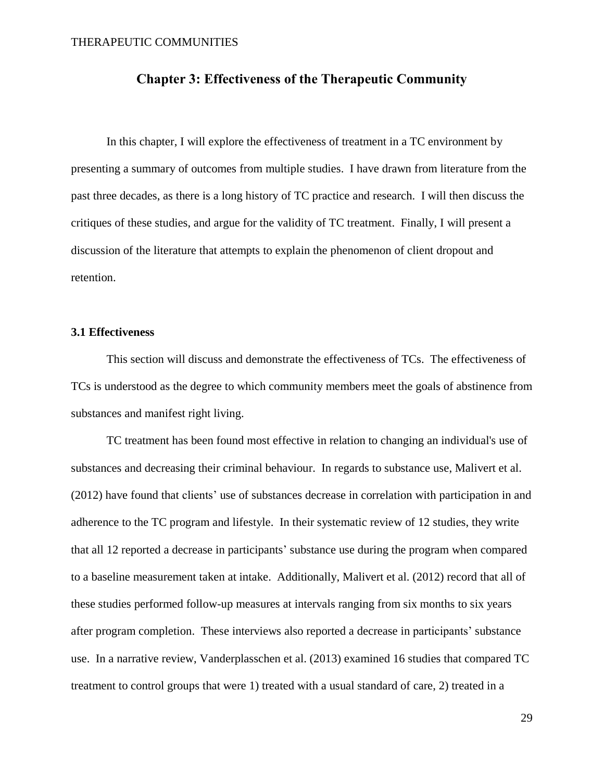### **Chapter 3: Effectiveness of the Therapeutic Community**

In this chapter, I will explore the effectiveness of treatment in a TC environment by presenting a summary of outcomes from multiple studies. I have drawn from literature from the past three decades, as there is a long history of TC practice and research. I will then discuss the critiques of these studies, and argue for the validity of TC treatment. Finally, I will present a discussion of the literature that attempts to explain the phenomenon of client dropout and retention.

### **3.1 Effectiveness**

This section will discuss and demonstrate the effectiveness of TCs. The effectiveness of TCs is understood as the degree to which community members meet the goals of abstinence from substances and manifest right living.

TC treatment has been found most effective in relation to changing an individual's use of substances and decreasing their criminal behaviour. In regards to substance use, Malivert et al. (2012) have found that clients' use of substances decrease in correlation with participation in and adherence to the TC program and lifestyle. In their systematic review of 12 studies, they write that all 12 reported a decrease in participants' substance use during the program when compared to a baseline measurement taken at intake. Additionally, Malivert et al. (2012) record that all of these studies performed follow-up measures at intervals ranging from six months to six years after program completion. These interviews also reported a decrease in participants' substance use. In a narrative review, Vanderplasschen et al. (2013) examined 16 studies that compared TC treatment to control groups that were 1) treated with a usual standard of care, 2) treated in a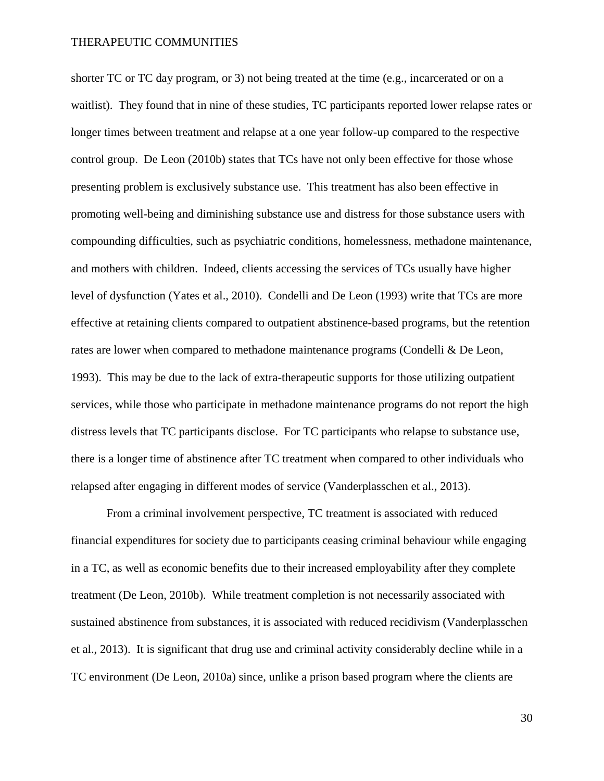shorter TC or TC day program, or 3) not being treated at the time (e.g., incarcerated or on a waitlist). They found that in nine of these studies, TC participants reported lower relapse rates or longer times between treatment and relapse at a one year follow-up compared to the respective control group. De Leon (2010b) states that TCs have not only been effective for those whose presenting problem is exclusively substance use. This treatment has also been effective in promoting well-being and diminishing substance use and distress for those substance users with compounding difficulties, such as psychiatric conditions, homelessness, methadone maintenance, and mothers with children. Indeed, clients accessing the services of TCs usually have higher level of dysfunction (Yates et al., 2010). Condelli and De Leon (1993) write that TCs are more effective at retaining clients compared to outpatient abstinence-based programs, but the retention rates are lower when compared to methadone maintenance programs (Condelli & De Leon, 1993). This may be due to the lack of extra-therapeutic supports for those utilizing outpatient services, while those who participate in methadone maintenance programs do not report the high distress levels that TC participants disclose. For TC participants who relapse to substance use, there is a longer time of abstinence after TC treatment when compared to other individuals who relapsed after engaging in different modes of service (Vanderplasschen et al., 2013).

From a criminal involvement perspective, TC treatment is associated with reduced financial expenditures for society due to participants ceasing criminal behaviour while engaging in a TC, as well as economic benefits due to their increased employability after they complete treatment (De Leon, 2010b). While treatment completion is not necessarily associated with sustained abstinence from substances, it is associated with reduced recidivism (Vanderplasschen et al., 2013). It is significant that drug use and criminal activity considerably decline while in a TC environment (De Leon, 2010a) since, unlike a prison based program where the clients are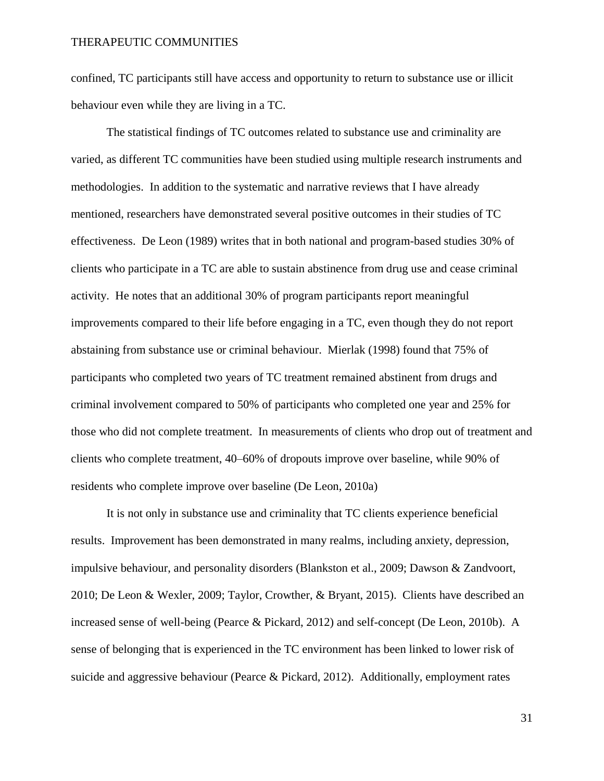confined, TC participants still have access and opportunity to return to substance use or illicit behaviour even while they are living in a TC.

The statistical findings of TC outcomes related to substance use and criminality are varied, as different TC communities have been studied using multiple research instruments and methodologies. In addition to the systematic and narrative reviews that I have already mentioned, researchers have demonstrated several positive outcomes in their studies of TC effectiveness. De Leon (1989) writes that in both national and program-based studies 30% of clients who participate in a TC are able to sustain abstinence from drug use and cease criminal activity. He notes that an additional 30% of program participants report meaningful improvements compared to their life before engaging in a TC, even though they do not report abstaining from substance use or criminal behaviour. Mierlak (1998) found that 75% of participants who completed two years of TC treatment remained abstinent from drugs and criminal involvement compared to 50% of participants who completed one year and 25% for those who did not complete treatment. In measurements of clients who drop out of treatment and clients who complete treatment, 40–60% of dropouts improve over baseline, while 90% of residents who complete improve over baseline (De Leon, 2010a)

It is not only in substance use and criminality that TC clients experience beneficial results. Improvement has been demonstrated in many realms, including anxiety, depression, impulsive behaviour, and personality disorders (Blankston et al., 2009; Dawson & Zandvoort, 2010; De Leon & Wexler, 2009; Taylor, Crowther, & Bryant, 2015). Clients have described an increased sense of well-being (Pearce & Pickard, 2012) and self-concept (De Leon, 2010b). A sense of belonging that is experienced in the TC environment has been linked to lower risk of suicide and aggressive behaviour (Pearce & Pickard, 2012). Additionally, employment rates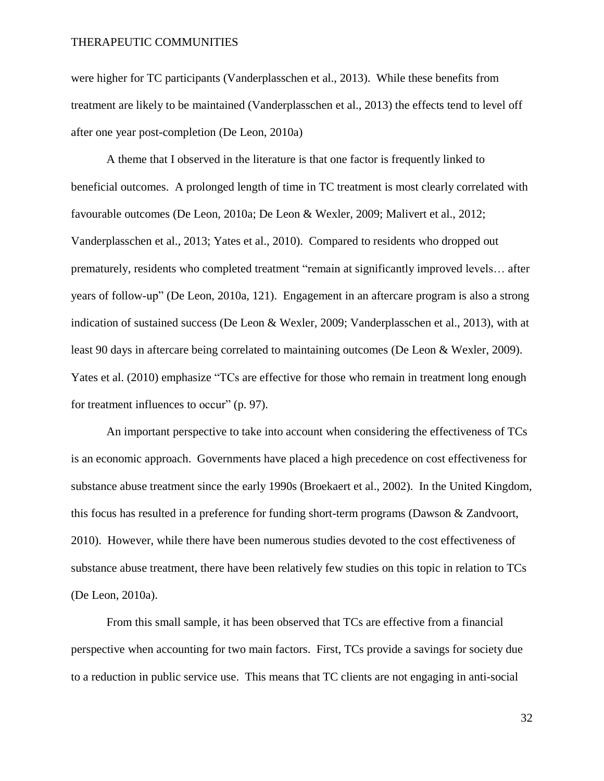were higher for TC participants (Vanderplasschen et al., 2013). While these benefits from treatment are likely to be maintained (Vanderplasschen et al., 2013) the effects tend to level off after one year post-completion (De Leon, 2010a)

A theme that I observed in the literature is that one factor is frequently linked to beneficial outcomes. A prolonged length of time in TC treatment is most clearly correlated with favourable outcomes (De Leon, 2010a; De Leon & Wexler, 2009; Malivert et al., 2012; Vanderplasschen et al., 2013; Yates et al., 2010). Compared to residents who dropped out prematurely, residents who completed treatment "remain at significantly improved levels… after years of follow-up" (De Leon, 2010a, 121). Engagement in an aftercare program is also a strong indication of sustained success (De Leon & Wexler, 2009; Vanderplasschen et al., 2013), with at least 90 days in aftercare being correlated to maintaining outcomes (De Leon & Wexler, 2009). Yates et al. (2010) emphasize "TCs are effective for those who remain in treatment long enough for treatment influences to occur" (p. 97).

An important perspective to take into account when considering the effectiveness of TCs is an economic approach. Governments have placed a high precedence on cost effectiveness for substance abuse treatment since the early 1990s (Broekaert et al., 2002). In the United Kingdom, this focus has resulted in a preference for funding short-term programs (Dawson & Zandvoort, 2010). However, while there have been numerous studies devoted to the cost effectiveness of substance abuse treatment, there have been relatively few studies on this topic in relation to TCs (De Leon, 2010a).

From this small sample, it has been observed that TCs are effective from a financial perspective when accounting for two main factors. First, TCs provide a savings for society due to a reduction in public service use. This means that TC clients are not engaging in anti-social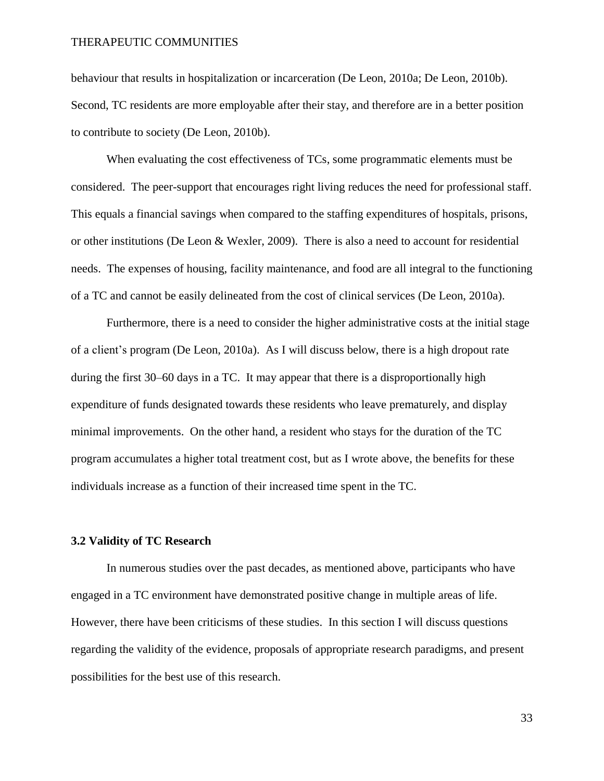behaviour that results in hospitalization or incarceration (De Leon, 2010a; De Leon, 2010b). Second, TC residents are more employable after their stay, and therefore are in a better position to contribute to society (De Leon, 2010b).

When evaluating the cost effectiveness of TCs, some programmatic elements must be considered. The peer-support that encourages right living reduces the need for professional staff. This equals a financial savings when compared to the staffing expenditures of hospitals, prisons, or other institutions (De Leon & Wexler, 2009). There is also a need to account for residential needs. The expenses of housing, facility maintenance, and food are all integral to the functioning of a TC and cannot be easily delineated from the cost of clinical services (De Leon, 2010a).

Furthermore, there is a need to consider the higher administrative costs at the initial stage of a client's program (De Leon, 2010a). As I will discuss below, there is a high dropout rate during the first 30–60 days in a TC. It may appear that there is a disproportionally high expenditure of funds designated towards these residents who leave prematurely, and display minimal improvements. On the other hand, a resident who stays for the duration of the TC program accumulates a higher total treatment cost, but as I wrote above, the benefits for these individuals increase as a function of their increased time spent in the TC.

### **3.2 Validity of TC Research**

In numerous studies over the past decades, as mentioned above, participants who have engaged in a TC environment have demonstrated positive change in multiple areas of life. However, there have been criticisms of these studies. In this section I will discuss questions regarding the validity of the evidence, proposals of appropriate research paradigms, and present possibilities for the best use of this research.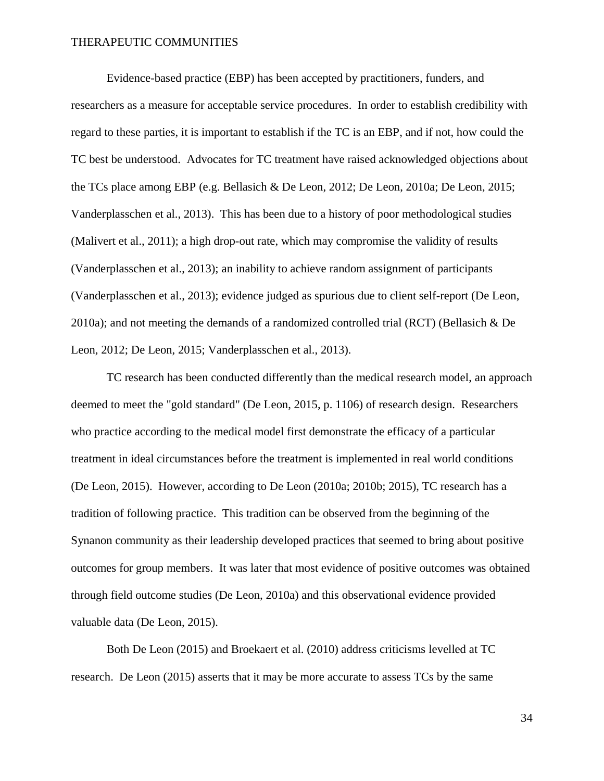Evidence-based practice (EBP) has been accepted by practitioners, funders, and researchers as a measure for acceptable service procedures. In order to establish credibility with regard to these parties, it is important to establish if the TC is an EBP, and if not, how could the TC best be understood. Advocates for TC treatment have raised acknowledged objections about the TCs place among EBP (e.g. Bellasich & De Leon, 2012; De Leon, 2010a; De Leon, 2015; Vanderplasschen et al., 2013). This has been due to a history of poor methodological studies (Malivert et al., 2011); a high drop-out rate, which may compromise the validity of results (Vanderplasschen et al., 2013); an inability to achieve random assignment of participants (Vanderplasschen et al., 2013); evidence judged as spurious due to client self-report (De Leon, 2010a); and not meeting the demands of a randomized controlled trial (RCT) (Bellasich & De Leon, 2012; De Leon, 2015; Vanderplasschen et al., 2013).

TC research has been conducted differently than the medical research model, an approach deemed to meet the "gold standard" (De Leon, 2015, p. 1106) of research design. Researchers who practice according to the medical model first demonstrate the efficacy of a particular treatment in ideal circumstances before the treatment is implemented in real world conditions (De Leon, 2015). However, according to De Leon (2010a; 2010b; 2015), TC research has a tradition of following practice. This tradition can be observed from the beginning of the Synanon community as their leadership developed practices that seemed to bring about positive outcomes for group members. It was later that most evidence of positive outcomes was obtained through field outcome studies (De Leon, 2010a) and this observational evidence provided valuable data (De Leon, 2015).

Both De Leon (2015) and Broekaert et al. (2010) address criticisms levelled at TC research. De Leon (2015) asserts that it may be more accurate to assess TCs by the same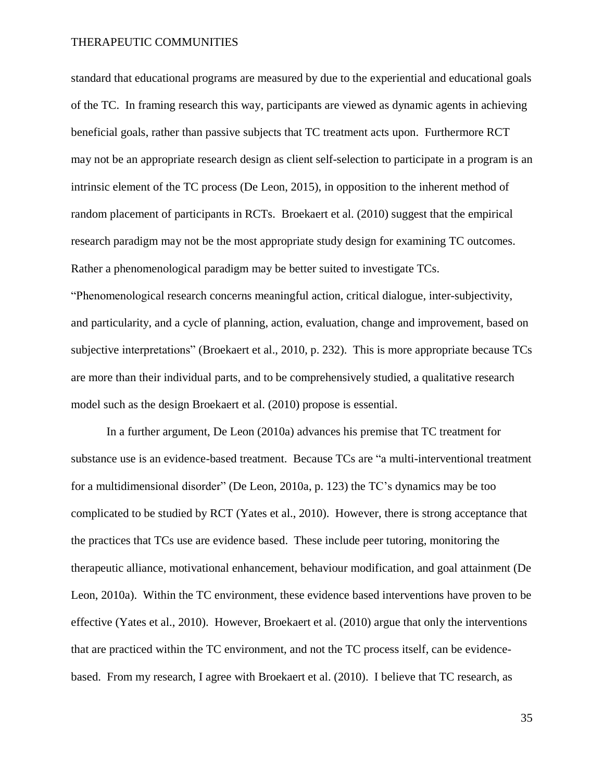standard that educational programs are measured by due to the experiential and educational goals of the TC. In framing research this way, participants are viewed as dynamic agents in achieving beneficial goals, rather than passive subjects that TC treatment acts upon. Furthermore RCT may not be an appropriate research design as client self-selection to participate in a program is an intrinsic element of the TC process (De Leon, 2015), in opposition to the inherent method of random placement of participants in RCTs. Broekaert et al. (2010) suggest that the empirical research paradigm may not be the most appropriate study design for examining TC outcomes. Rather a phenomenological paradigm may be better suited to investigate TCs. "Phenomenological research concerns meaningful action, critical dialogue, inter-subjectivity,

and particularity, and a cycle of planning, action, evaluation, change and improvement, based on subjective interpretations" (Broekaert et al., 2010, p. 232). This is more appropriate because TCs are more than their individual parts, and to be comprehensively studied, a qualitative research model such as the design Broekaert et al. (2010) propose is essential.

In a further argument, De Leon (2010a) advances his premise that TC treatment for substance use is an evidence-based treatment. Because TCs are "a multi-interventional treatment for a multidimensional disorder" (De Leon, 2010a, p. 123) the TC's dynamics may be too complicated to be studied by RCT (Yates et al., 2010). However, there is strong acceptance that the practices that TCs use are evidence based. These include peer tutoring, monitoring the therapeutic alliance, motivational enhancement, behaviour modification, and goal attainment (De Leon, 2010a). Within the TC environment, these evidence based interventions have proven to be effective (Yates et al., 2010). However, Broekaert et al. (2010) argue that only the interventions that are practiced within the TC environment, and not the TC process itself, can be evidencebased. From my research, I agree with Broekaert et al. (2010). I believe that TC research, as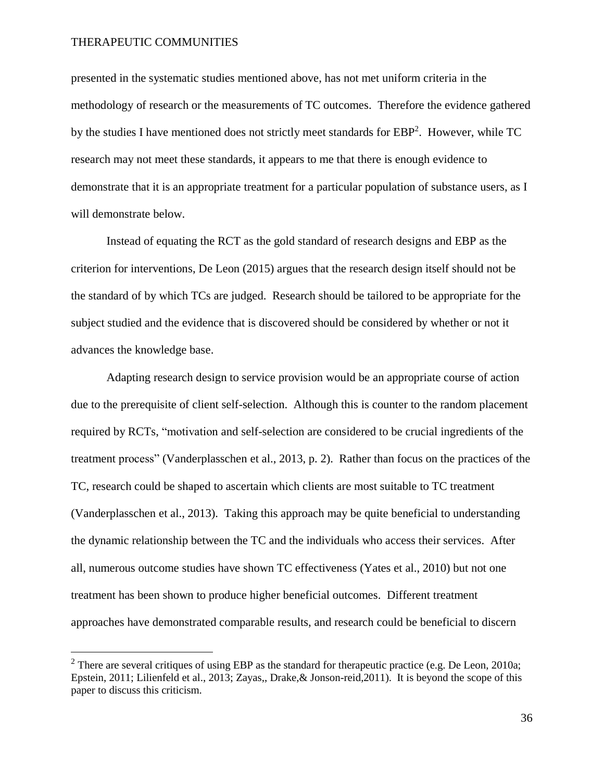$\overline{a}$ 

presented in the systematic studies mentioned above, has not met uniform criteria in the methodology of research or the measurements of TC outcomes. Therefore the evidence gathered by the studies I have mentioned does not strictly meet standards for EBP<sup>2</sup>. However, while TC research may not meet these standards, it appears to me that there is enough evidence to demonstrate that it is an appropriate treatment for a particular population of substance users, as I will demonstrate below.

Instead of equating the RCT as the gold standard of research designs and EBP as the criterion for interventions, De Leon (2015) argues that the research design itself should not be the standard of by which TCs are judged. Research should be tailored to be appropriate for the subject studied and the evidence that is discovered should be considered by whether or not it advances the knowledge base.

Adapting research design to service provision would be an appropriate course of action due to the prerequisite of client self-selection. Although this is counter to the random placement required by RCTs, "motivation and self-selection are considered to be crucial ingredients of the treatment process" (Vanderplasschen et al., 2013, p. 2). Rather than focus on the practices of the TC, research could be shaped to ascertain which clients are most suitable to TC treatment (Vanderplasschen et al., 2013). Taking this approach may be quite beneficial to understanding the dynamic relationship between the TC and the individuals who access their services. After all, numerous outcome studies have shown TC effectiveness (Yates et al., 2010) but not one treatment has been shown to produce higher beneficial outcomes. Different treatment approaches have demonstrated comparable results, and research could be beneficial to discern

<sup>&</sup>lt;sup>2</sup> There are several critiques of using EBP as the standard for therapeutic practice (e.g. De Leon, 2010a; Epstein, 2011; Lilienfeld et al., 2013; Zayas,, Drake,& Jonson-reid,2011). It is beyond the scope of this paper to discuss this criticism.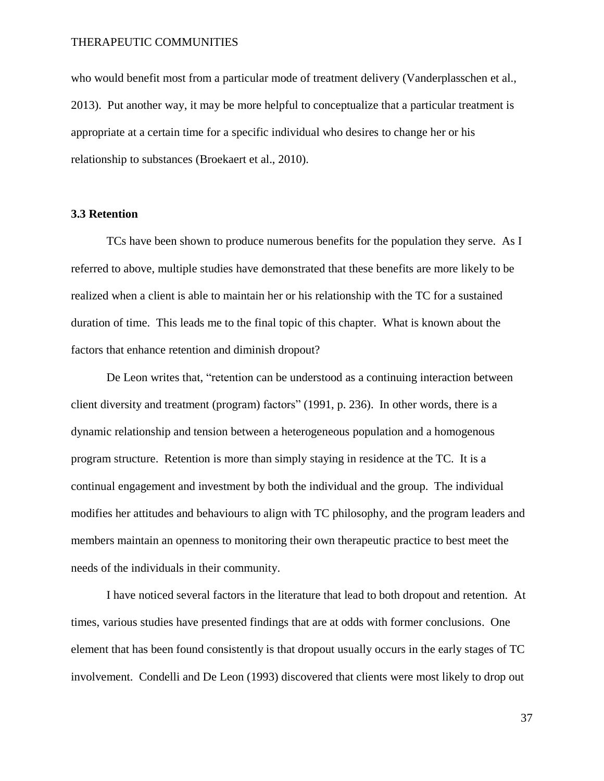who would benefit most from a particular mode of treatment delivery (Vanderplasschen et al., 2013). Put another way, it may be more helpful to conceptualize that a particular treatment is appropriate at a certain time for a specific individual who desires to change her or his relationship to substances (Broekaert et al., 2010).

### **3.3 Retention**

TCs have been shown to produce numerous benefits for the population they serve. As I referred to above, multiple studies have demonstrated that these benefits are more likely to be realized when a client is able to maintain her or his relationship with the TC for a sustained duration of time. This leads me to the final topic of this chapter. What is known about the factors that enhance retention and diminish dropout?

De Leon writes that, "retention can be understood as a continuing interaction between client diversity and treatment (program) factors" (1991, p. 236). In other words, there is a dynamic relationship and tension between a heterogeneous population and a homogenous program structure. Retention is more than simply staying in residence at the TC. It is a continual engagement and investment by both the individual and the group. The individual modifies her attitudes and behaviours to align with TC philosophy, and the program leaders and members maintain an openness to monitoring their own therapeutic practice to best meet the needs of the individuals in their community.

I have noticed several factors in the literature that lead to both dropout and retention. At times, various studies have presented findings that are at odds with former conclusions. One element that has been found consistently is that dropout usually occurs in the early stages of TC involvement. Condelli and De Leon (1993) discovered that clients were most likely to drop out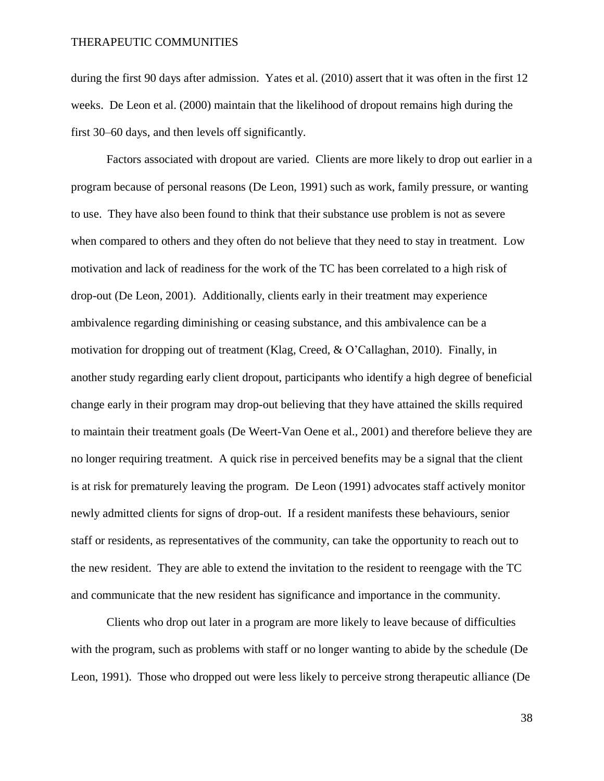during the first 90 days after admission. Yates et al. (2010) assert that it was often in the first 12 weeks. De Leon et al. (2000) maintain that the likelihood of dropout remains high during the first 30–60 days, and then levels off significantly.

Factors associated with dropout are varied. Clients are more likely to drop out earlier in a program because of personal reasons (De Leon, 1991) such as work, family pressure, or wanting to use. They have also been found to think that their substance use problem is not as severe when compared to others and they often do not believe that they need to stay in treatment. Low motivation and lack of readiness for the work of the TC has been correlated to a high risk of drop-out (De Leon, 2001). Additionally, clients early in their treatment may experience ambivalence regarding diminishing or ceasing substance, and this ambivalence can be a motivation for dropping out of treatment (Klag, Creed, & O'Callaghan, 2010). Finally, in another study regarding early client dropout, participants who identify a high degree of beneficial change early in their program may drop-out believing that they have attained the skills required to maintain their treatment goals (De Weert-Van Oene et al., 2001) and therefore believe they are no longer requiring treatment. A quick rise in perceived benefits may be a signal that the client is at risk for prematurely leaving the program. De Leon (1991) advocates staff actively monitor newly admitted clients for signs of drop-out. If a resident manifests these behaviours, senior staff or residents, as representatives of the community, can take the opportunity to reach out to the new resident. They are able to extend the invitation to the resident to reengage with the TC and communicate that the new resident has significance and importance in the community.

Clients who drop out later in a program are more likely to leave because of difficulties with the program, such as problems with staff or no longer wanting to abide by the schedule (De Leon, 1991). Those who dropped out were less likely to perceive strong therapeutic alliance (De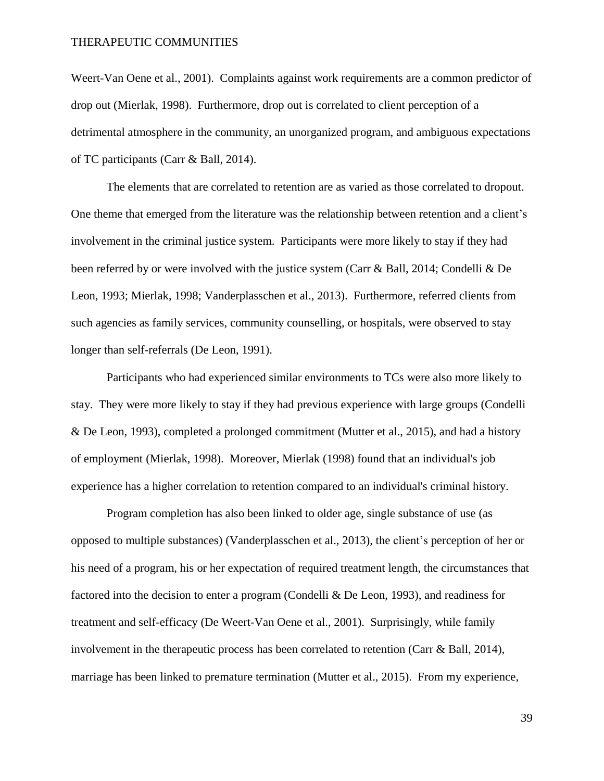Weert-Van Oene et al., 2001). Complaints against work requirements are a common predictor of drop out (Mierlak, 1998). Furthermore, drop out is correlated to client perception of a detrimental atmosphere in the community, an unorganized program, and ambiguous expectations of TC participants (Carr & Ball, 2014).

The elements that are correlated to retention are as varied as those correlated to dropout. One theme that emerged from the literature was the relationship between retention and a client's involvement in the criminal justice system. Participants were more likely to stay if they had been referred by or were involved with the justice system (Carr & Ball, 2014; Condelli & De Leon, 1993; Mierlak, 1998; Vanderplasschen et al., 2013). Furthermore, referred clients from such agencies as family services, community counselling, or hospitals, were observed to stay longer than self-referrals (De Leon, 1991).

Participants who had experienced similar environments to TCs were also more likely to stay. They were more likely to stay if they had previous experience with large groups (Condelli & De Leon, 1993), completed a prolonged commitment (Mutter et al., 2015), and had a history of employment (Mierlak, 1998). Moreover, Mierlak (1998) found that an individual's job experience has a higher correlation to retention compared to an individual's criminal history.

Program completion has also been linked to older age, single substance of use (as opposed to multiple substances) (Vanderplasschen et al., 2013), the client's perception of her or his need of a program, his or her expectation of required treatment length, the circumstances that factored into the decision to enter a program (Condelli & De Leon, 1993), and readiness for treatment and self-efficacy (De Weert-Van Oene et al., 2001). Surprisingly, while family involvement in the therapeutic process has been correlated to retention (Carr & Ball, 2014), marriage has been linked to premature termination (Mutter et al., 2015). From my experience,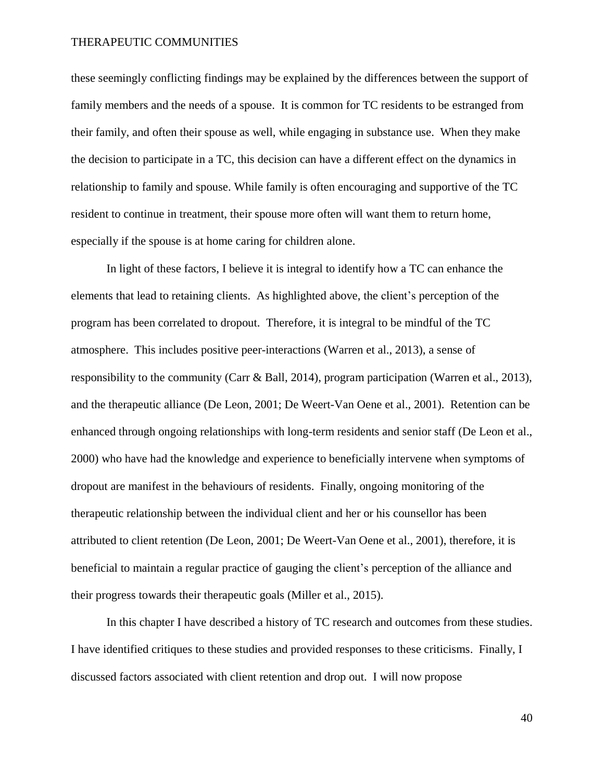these seemingly conflicting findings may be explained by the differences between the support of family members and the needs of a spouse. It is common for TC residents to be estranged from their family, and often their spouse as well, while engaging in substance use. When they make the decision to participate in a TC, this decision can have a different effect on the dynamics in relationship to family and spouse. While family is often encouraging and supportive of the TC resident to continue in treatment, their spouse more often will want them to return home, especially if the spouse is at home caring for children alone.

In light of these factors, I believe it is integral to identify how a TC can enhance the elements that lead to retaining clients. As highlighted above, the client's perception of the program has been correlated to dropout. Therefore, it is integral to be mindful of the TC atmosphere. This includes positive peer-interactions (Warren et al., 2013), a sense of responsibility to the community (Carr & Ball, 2014), program participation (Warren et al., 2013), and the therapeutic alliance (De Leon, 2001; De Weert-Van Oene et al., 2001). Retention can be enhanced through ongoing relationships with long-term residents and senior staff (De Leon et al., 2000) who have had the knowledge and experience to beneficially intervene when symptoms of dropout are manifest in the behaviours of residents. Finally, ongoing monitoring of the therapeutic relationship between the individual client and her or his counsellor has been attributed to client retention (De Leon, 2001; De Weert-Van Oene et al., 2001), therefore, it is beneficial to maintain a regular practice of gauging the client's perception of the alliance and their progress towards their therapeutic goals (Miller et al., 2015).

In this chapter I have described a history of TC research and outcomes from these studies. I have identified critiques to these studies and provided responses to these criticisms. Finally, I discussed factors associated with client retention and drop out. I will now propose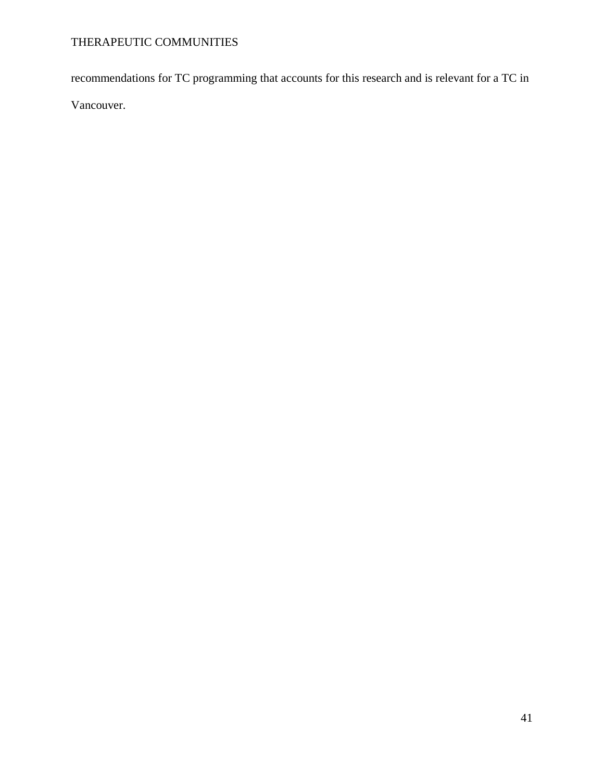recommendations for TC programming that accounts for this research and is relevant for a TC in Vancouver.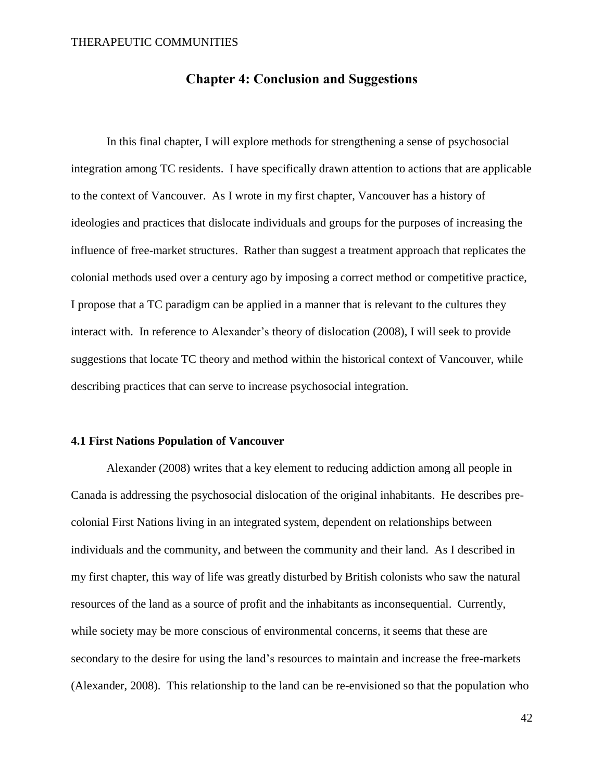### **Chapter 4: Conclusion and Suggestions**

In this final chapter, I will explore methods for strengthening a sense of psychosocial integration among TC residents. I have specifically drawn attention to actions that are applicable to the context of Vancouver. As I wrote in my first chapter, Vancouver has a history of ideologies and practices that dislocate individuals and groups for the purposes of increasing the influence of free-market structures. Rather than suggest a treatment approach that replicates the colonial methods used over a century ago by imposing a correct method or competitive practice, I propose that a TC paradigm can be applied in a manner that is relevant to the cultures they interact with. In reference to Alexander's theory of dislocation (2008), I will seek to provide suggestions that locate TC theory and method within the historical context of Vancouver, while describing practices that can serve to increase psychosocial integration.

### **4.1 First Nations Population of Vancouver**

Alexander (2008) writes that a key element to reducing addiction among all people in Canada is addressing the psychosocial dislocation of the original inhabitants. He describes precolonial First Nations living in an integrated system, dependent on relationships between individuals and the community, and between the community and their land. As I described in my first chapter, this way of life was greatly disturbed by British colonists who saw the natural resources of the land as a source of profit and the inhabitants as inconsequential. Currently, while society may be more conscious of environmental concerns, it seems that these are secondary to the desire for using the land's resources to maintain and increase the free-markets (Alexander, 2008). This relationship to the land can be re-envisioned so that the population who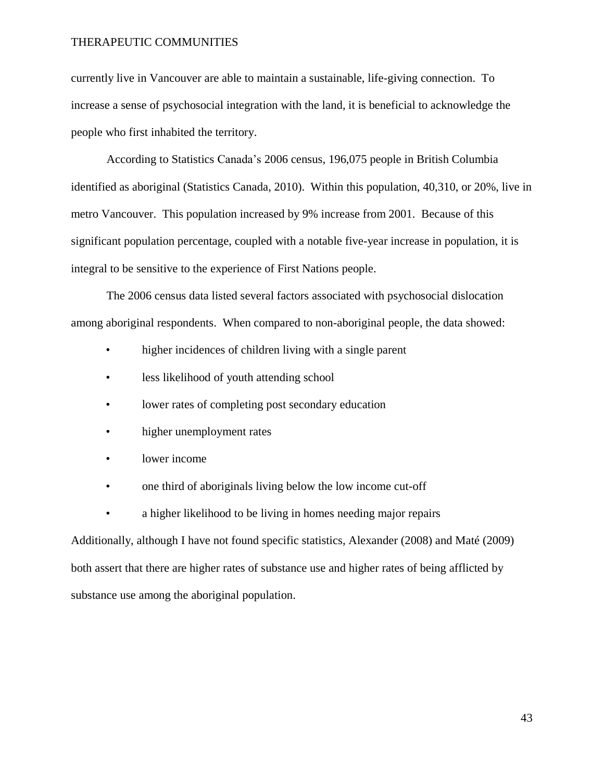currently live in Vancouver are able to maintain a sustainable, life-giving connection. To increase a sense of psychosocial integration with the land, it is beneficial to acknowledge the people who first inhabited the territory.

According to Statistics Canada's 2006 census, 196,075 people in British Columbia identified as aboriginal (Statistics Canada, 2010). Within this population, 40,310, or 20%, live in metro Vancouver. This population increased by 9% increase from 2001. Because of this significant population percentage, coupled with a notable five-year increase in population, it is integral to be sensitive to the experience of First Nations people.

The 2006 census data listed several factors associated with psychosocial dislocation among aboriginal respondents. When compared to non-aboriginal people, the data showed:

- higher incidences of children living with a single parent
- less likelihood of youth attending school
- lower rates of completing post secondary education
- higher unemployment rates
- lower income
- one third of aboriginals living below the low income cut-off
- a higher likelihood to be living in homes needing major repairs

Additionally, although I have not found specific statistics, Alexander (2008) and Maté (2009) both assert that there are higher rates of substance use and higher rates of being afflicted by substance use among the aboriginal population.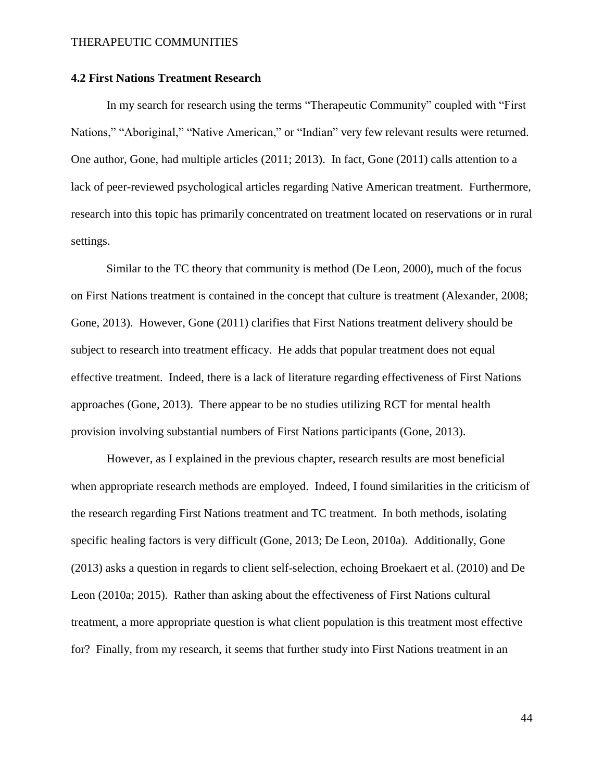### **4.2 First Nations Treatment Research**

In my search for research using the terms "Therapeutic Community" coupled with "First Nations," "Aboriginal," "Native American," or "Indian" very few relevant results were returned. One author, Gone, had multiple articles (2011; 2013). In fact, Gone (2011) calls attention to a lack of peer-reviewed psychological articles regarding Native American treatment. Furthermore, research into this topic has primarily concentrated on treatment located on reservations or in rural settings.

Similar to the TC theory that community is method (De Leon, 2000), much of the focus on First Nations treatment is contained in the concept that culture is treatment (Alexander, 2008; Gone, 2013). However, Gone (2011) clarifies that First Nations treatment delivery should be subject to research into treatment efficacy. He adds that popular treatment does not equal effective treatment. Indeed, there is a lack of literature regarding effectiveness of First Nations approaches (Gone, 2013). There appear to be no studies utilizing RCT for mental health provision involving substantial numbers of First Nations participants (Gone, 2013).

However, as I explained in the previous chapter, research results are most beneficial when appropriate research methods are employed. Indeed, I found similarities in the criticism of the research regarding First Nations treatment and TC treatment. In both methods, isolating specific healing factors is very difficult (Gone, 2013; De Leon, 2010a). Additionally, Gone (2013) asks a question in regards to client self-selection, echoing Broekaert et al. (2010) and De Leon (2010a; 2015). Rather than asking about the effectiveness of First Nations cultural treatment, a more appropriate question is what client population is this treatment most effective for? Finally, from my research, it seems that further study into First Nations treatment in an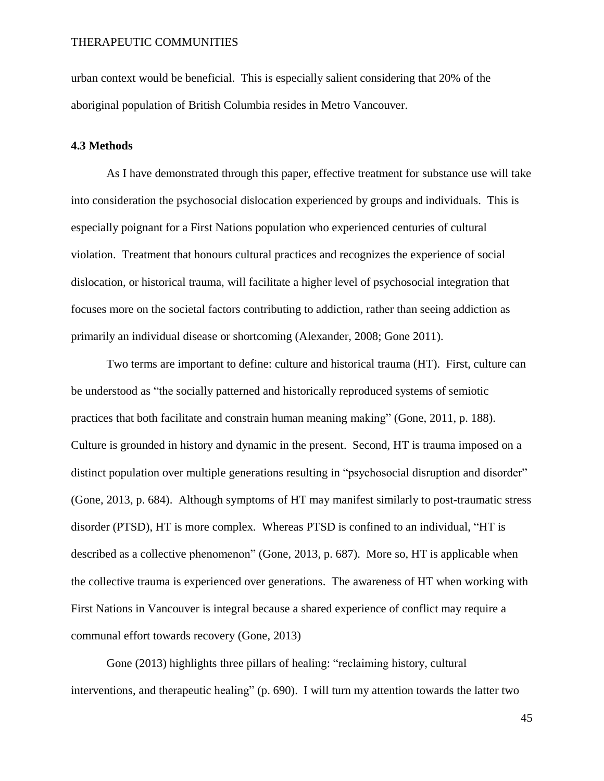urban context would be beneficial. This is especially salient considering that 20% of the aboriginal population of British Columbia resides in Metro Vancouver.

### **4.3 Methods**

As I have demonstrated through this paper, effective treatment for substance use will take into consideration the psychosocial dislocation experienced by groups and individuals. This is especially poignant for a First Nations population who experienced centuries of cultural violation. Treatment that honours cultural practices and recognizes the experience of social dislocation, or historical trauma, will facilitate a higher level of psychosocial integration that focuses more on the societal factors contributing to addiction, rather than seeing addiction as primarily an individual disease or shortcoming (Alexander, 2008; Gone 2011).

Two terms are important to define: culture and historical trauma (HT). First, culture can be understood as "the socially patterned and historically reproduced systems of semiotic practices that both facilitate and constrain human meaning making" (Gone, 2011, p. 188). Culture is grounded in history and dynamic in the present. Second, HT is trauma imposed on a distinct population over multiple generations resulting in "psychosocial disruption and disorder" (Gone, 2013, p. 684). Although symptoms of HT may manifest similarly to post-traumatic stress disorder (PTSD), HT is more complex. Whereas PTSD is confined to an individual, "HT is described as a collective phenomenon" (Gone, 2013, p. 687). More so, HT is applicable when the collective trauma is experienced over generations. The awareness of HT when working with First Nations in Vancouver is integral because a shared experience of conflict may require a communal effort towards recovery (Gone, 2013)

Gone (2013) highlights three pillars of healing: "reclaiming history, cultural interventions, and therapeutic healing" (p. 690). I will turn my attention towards the latter two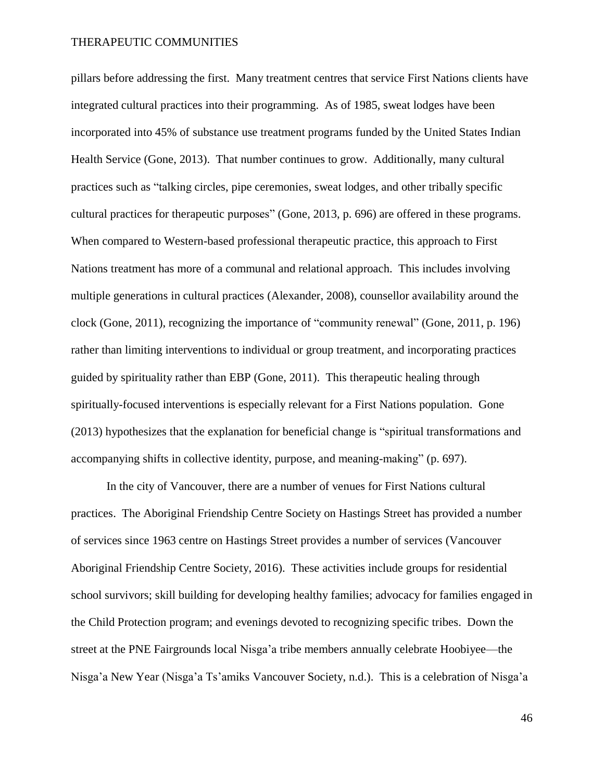pillars before addressing the first. Many treatment centres that service First Nations clients have integrated cultural practices into their programming. As of 1985, sweat lodges have been incorporated into 45% of substance use treatment programs funded by the United States Indian Health Service (Gone, 2013). That number continues to grow. Additionally, many cultural practices such as "talking circles, pipe ceremonies, sweat lodges, and other tribally specific cultural practices for therapeutic purposes" (Gone, 2013, p. 696) are offered in these programs. When compared to Western-based professional therapeutic practice, this approach to First Nations treatment has more of a communal and relational approach. This includes involving multiple generations in cultural practices (Alexander, 2008), counsellor availability around the clock (Gone, 2011), recognizing the importance of "community renewal" (Gone, 2011, p. 196) rather than limiting interventions to individual or group treatment, and incorporating practices guided by spirituality rather than EBP (Gone, 2011). This therapeutic healing through spiritually-focused interventions is especially relevant for a First Nations population. Gone (2013) hypothesizes that the explanation for beneficial change is "spiritual transformations and accompanying shifts in collective identity, purpose, and meaning-making" (p. 697).

In the city of Vancouver, there are a number of venues for First Nations cultural practices. The Aboriginal Friendship Centre Society on Hastings Street has provided a number of services since 1963 centre on Hastings Street provides a number of services (Vancouver Aboriginal Friendship Centre Society, 2016). These activities include groups for residential school survivors; skill building for developing healthy families; advocacy for families engaged in the Child Protection program; and evenings devoted to recognizing specific tribes. Down the street at the PNE Fairgrounds local Nisga'a tribe members annually celebrate Hoobiyee—the Nisga'a New Year (Nisga'a Ts'amiks Vancouver Society, n.d.). This is a celebration of Nisga'a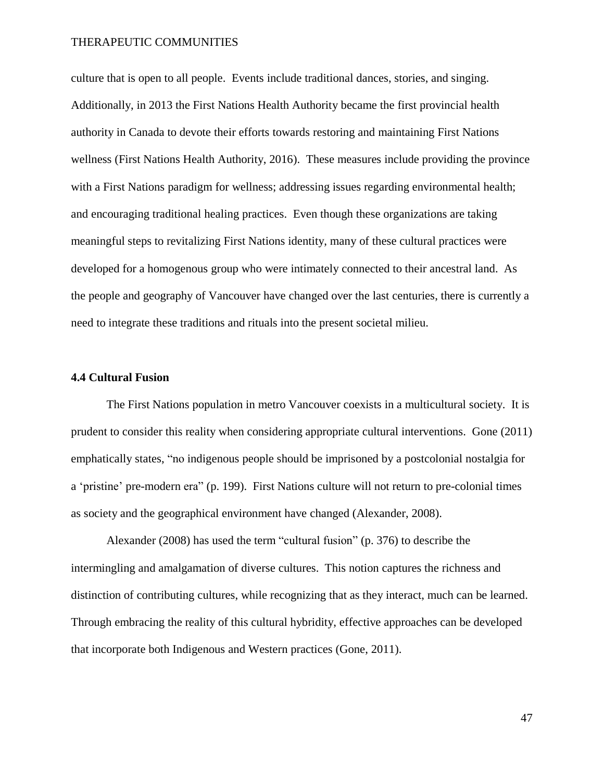culture that is open to all people. Events include traditional dances, stories, and singing. Additionally, in 2013 the First Nations Health Authority became the first provincial health authority in Canada to devote their efforts towards restoring and maintaining First Nations wellness (First Nations Health Authority, 2016). These measures include providing the province with a First Nations paradigm for wellness; addressing issues regarding environmental health; and encouraging traditional healing practices. Even though these organizations are taking meaningful steps to revitalizing First Nations identity, many of these cultural practices were developed for a homogenous group who were intimately connected to their ancestral land. As the people and geography of Vancouver have changed over the last centuries, there is currently a need to integrate these traditions and rituals into the present societal milieu.

### **4.4 Cultural Fusion**

The First Nations population in metro Vancouver coexists in a multicultural society. It is prudent to consider this reality when considering appropriate cultural interventions. Gone (2011) emphatically states, "no indigenous people should be imprisoned by a postcolonial nostalgia for a 'pristine' pre-modern era" (p. 199). First Nations culture will not return to pre-colonial times as society and the geographical environment have changed (Alexander, 2008).

Alexander (2008) has used the term "cultural fusion" (p. 376) to describe the intermingling and amalgamation of diverse cultures. This notion captures the richness and distinction of contributing cultures, while recognizing that as they interact, much can be learned. Through embracing the reality of this cultural hybridity, effective approaches can be developed that incorporate both Indigenous and Western practices (Gone, 2011).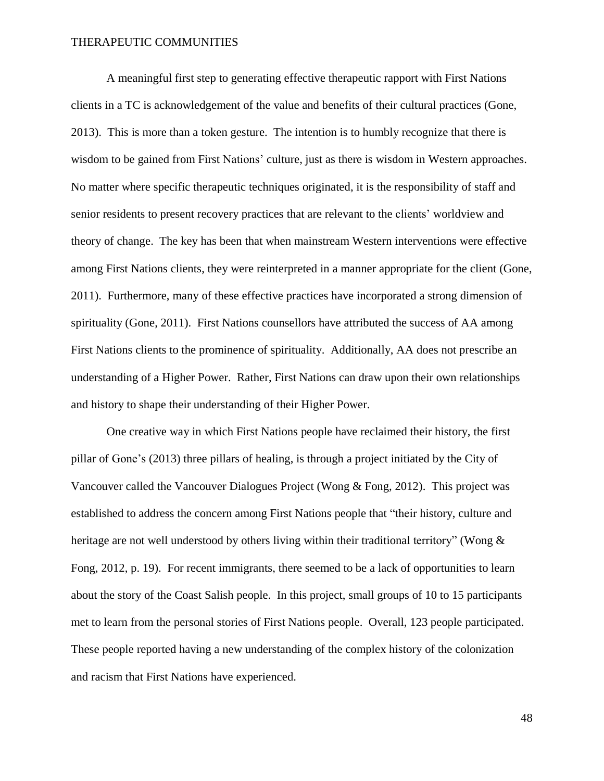A meaningful first step to generating effective therapeutic rapport with First Nations clients in a TC is acknowledgement of the value and benefits of their cultural practices (Gone, 2013). This is more than a token gesture. The intention is to humbly recognize that there is wisdom to be gained from First Nations' culture, just as there is wisdom in Western approaches. No matter where specific therapeutic techniques originated, it is the responsibility of staff and senior residents to present recovery practices that are relevant to the clients' worldview and theory of change. The key has been that when mainstream Western interventions were effective among First Nations clients, they were reinterpreted in a manner appropriate for the client (Gone, 2011). Furthermore, many of these effective practices have incorporated a strong dimension of spirituality (Gone, 2011). First Nations counsellors have attributed the success of AA among First Nations clients to the prominence of spirituality. Additionally, AA does not prescribe an understanding of a Higher Power. Rather, First Nations can draw upon their own relationships and history to shape their understanding of their Higher Power.

One creative way in which First Nations people have reclaimed their history, the first pillar of Gone's (2013) three pillars of healing, is through a project initiated by the City of Vancouver called the Vancouver Dialogues Project (Wong & Fong, 2012). This project was established to address the concern among First Nations people that "their history, culture and heritage are not well understood by others living within their traditional territory" (Wong & Fong, 2012, p. 19). For recent immigrants, there seemed to be a lack of opportunities to learn about the story of the Coast Salish people. In this project, small groups of 10 to 15 participants met to learn from the personal stories of First Nations people. Overall, 123 people participated. These people reported having a new understanding of the complex history of the colonization and racism that First Nations have experienced.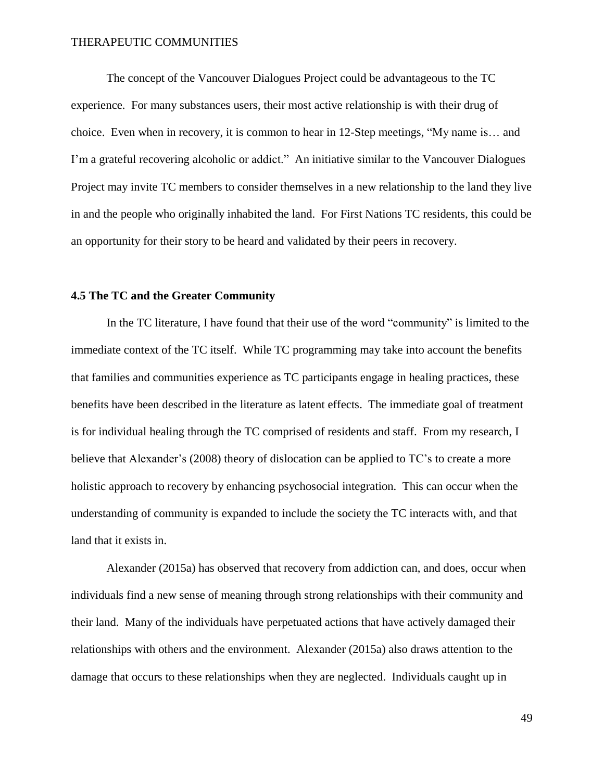The concept of the Vancouver Dialogues Project could be advantageous to the TC experience. For many substances users, their most active relationship is with their drug of choice. Even when in recovery, it is common to hear in 12-Step meetings, "My name is… and I'm a grateful recovering alcoholic or addict." An initiative similar to the Vancouver Dialogues Project may invite TC members to consider themselves in a new relationship to the land they live in and the people who originally inhabited the land. For First Nations TC residents, this could be an opportunity for their story to be heard and validated by their peers in recovery.

### **4.5 The TC and the Greater Community**

In the TC literature, I have found that their use of the word "community" is limited to the immediate context of the TC itself. While TC programming may take into account the benefits that families and communities experience as TC participants engage in healing practices, these benefits have been described in the literature as latent effects. The immediate goal of treatment is for individual healing through the TC comprised of residents and staff. From my research, I believe that Alexander's (2008) theory of dislocation can be applied to TC's to create a more holistic approach to recovery by enhancing psychosocial integration. This can occur when the understanding of community is expanded to include the society the TC interacts with, and that land that it exists in.

Alexander (2015a) has observed that recovery from addiction can, and does, occur when individuals find a new sense of meaning through strong relationships with their community and their land. Many of the individuals have perpetuated actions that have actively damaged their relationships with others and the environment. Alexander (2015a) also draws attention to the damage that occurs to these relationships when they are neglected. Individuals caught up in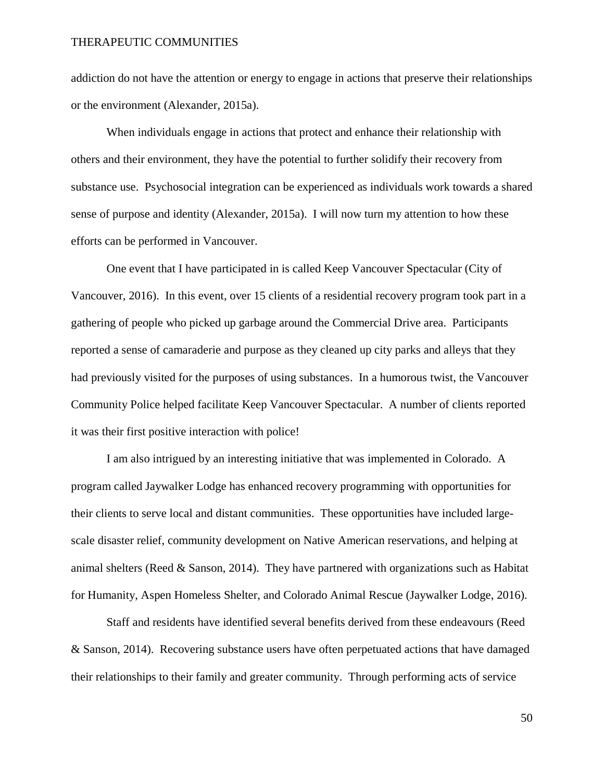addiction do not have the attention or energy to engage in actions that preserve their relationships or the environment (Alexander, 2015a).

When individuals engage in actions that protect and enhance their relationship with others and their environment, they have the potential to further solidify their recovery from substance use. Psychosocial integration can be experienced as individuals work towards a shared sense of purpose and identity (Alexander, 2015a). I will now turn my attention to how these efforts can be performed in Vancouver.

One event that I have participated in is called Keep Vancouver Spectacular (City of Vancouver, 2016). In this event, over 15 clients of a residential recovery program took part in a gathering of people who picked up garbage around the Commercial Drive area. Participants reported a sense of camaraderie and purpose as they cleaned up city parks and alleys that they had previously visited for the purposes of using substances. In a humorous twist, the Vancouver Community Police helped facilitate Keep Vancouver Spectacular. A number of clients reported it was their first positive interaction with police!

I am also intrigued by an interesting initiative that was implemented in Colorado. A program called Jaywalker Lodge has enhanced recovery programming with opportunities for their clients to serve local and distant communities. These opportunities have included largescale disaster relief, community development on Native American reservations, and helping at animal shelters (Reed & Sanson, 2014). They have partnered with organizations such as Habitat for Humanity, Aspen Homeless Shelter, and Colorado Animal Rescue (Jaywalker Lodge, 2016).

Staff and residents have identified several benefits derived from these endeavours (Reed & Sanson, 2014). Recovering substance users have often perpetuated actions that have damaged their relationships to their family and greater community. Through performing acts of service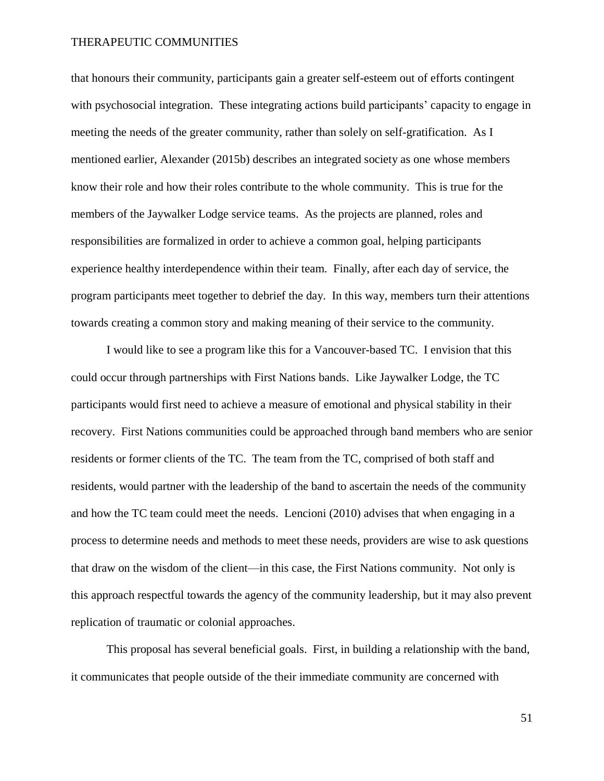that honours their community, participants gain a greater self-esteem out of efforts contingent with psychosocial integration. These integrating actions build participants' capacity to engage in meeting the needs of the greater community, rather than solely on self-gratification. As I mentioned earlier, Alexander (2015b) describes an integrated society as one whose members know their role and how their roles contribute to the whole community. This is true for the members of the Jaywalker Lodge service teams. As the projects are planned, roles and responsibilities are formalized in order to achieve a common goal, helping participants experience healthy interdependence within their team. Finally, after each day of service, the program participants meet together to debrief the day. In this way, members turn their attentions towards creating a common story and making meaning of their service to the community.

I would like to see a program like this for a Vancouver-based TC. I envision that this could occur through partnerships with First Nations bands. Like Jaywalker Lodge, the TC participants would first need to achieve a measure of emotional and physical stability in their recovery. First Nations communities could be approached through band members who are senior residents or former clients of the TC. The team from the TC, comprised of both staff and residents, would partner with the leadership of the band to ascertain the needs of the community and how the TC team could meet the needs. Lencioni (2010) advises that when engaging in a process to determine needs and methods to meet these needs, providers are wise to ask questions that draw on the wisdom of the client—in this case, the First Nations community. Not only is this approach respectful towards the agency of the community leadership, but it may also prevent replication of traumatic or colonial approaches.

This proposal has several beneficial goals. First, in building a relationship with the band, it communicates that people outside of the their immediate community are concerned with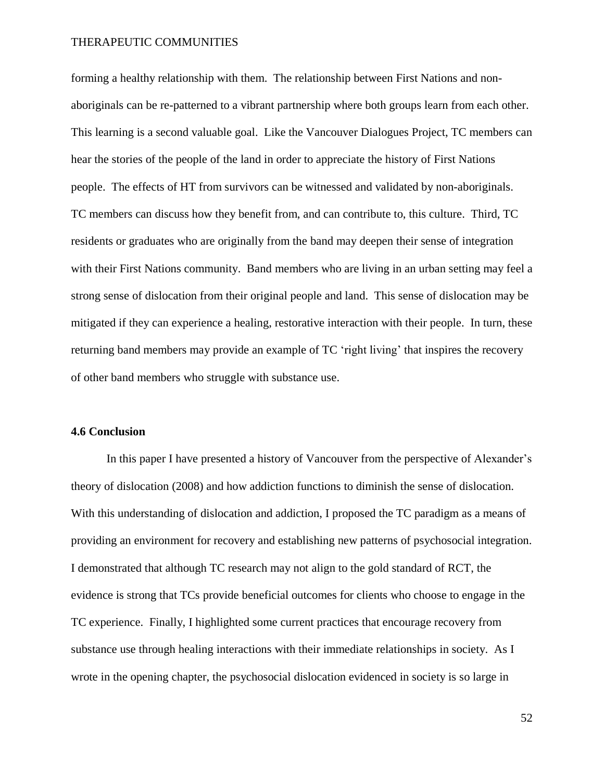forming a healthy relationship with them. The relationship between First Nations and nonaboriginals can be re-patterned to a vibrant partnership where both groups learn from each other. This learning is a second valuable goal. Like the Vancouver Dialogues Project, TC members can hear the stories of the people of the land in order to appreciate the history of First Nations people. The effects of HT from survivors can be witnessed and validated by non-aboriginals. TC members can discuss how they benefit from, and can contribute to, this culture. Third, TC residents or graduates who are originally from the band may deepen their sense of integration with their First Nations community. Band members who are living in an urban setting may feel a strong sense of dislocation from their original people and land. This sense of dislocation may be mitigated if they can experience a healing, restorative interaction with their people. In turn, these returning band members may provide an example of TC 'right living' that inspires the recovery of other band members who struggle with substance use.

### **4.6 Conclusion**

In this paper I have presented a history of Vancouver from the perspective of Alexander's theory of dislocation (2008) and how addiction functions to diminish the sense of dislocation. With this understanding of dislocation and addiction, I proposed the TC paradigm as a means of providing an environment for recovery and establishing new patterns of psychosocial integration. I demonstrated that although TC research may not align to the gold standard of RCT, the evidence is strong that TCs provide beneficial outcomes for clients who choose to engage in the TC experience. Finally, I highlighted some current practices that encourage recovery from substance use through healing interactions with their immediate relationships in society. As I wrote in the opening chapter, the psychosocial dislocation evidenced in society is so large in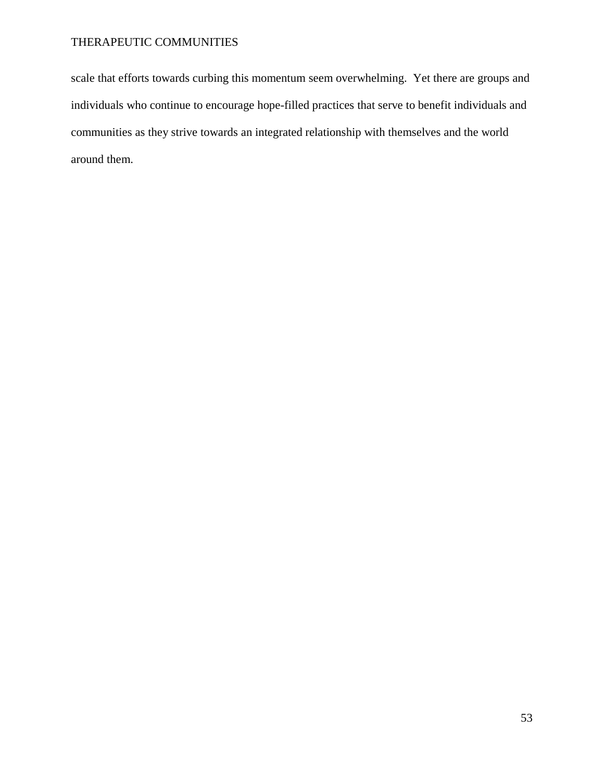scale that efforts towards curbing this momentum seem overwhelming. Yet there are groups and individuals who continue to encourage hope-filled practices that serve to benefit individuals and communities as they strive towards an integrated relationship with themselves and the world around them.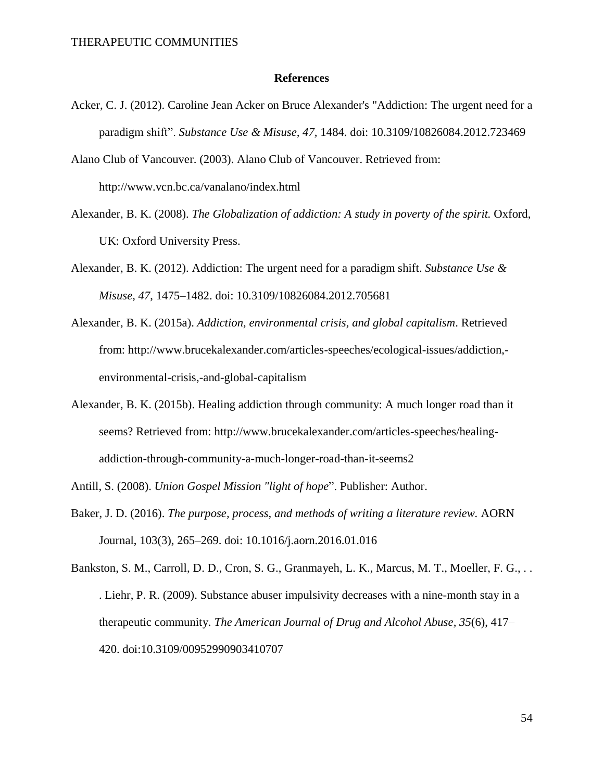#### **References**

- Acker, C. J. (2012). Caroline Jean Acker on Bruce Alexander's "Addiction: The urgent need for a paradigm shift". *Substance Use & Misuse, 47,* 1484. doi: 10.3109/10826084.2012.723469
- Alano Club of Vancouver. (2003). Alano Club of Vancouver. Retrieved from: http://www.vcn.bc.ca/vanalano/index.html
- Alexander, B. K. (2008). *The Globalization of addiction: A study in poverty of the spirit.* Oxford, UK: Oxford University Press.
- Alexander, B. K. (2012). Addiction: The urgent need for a paradigm shift. *Substance Use & Misuse, 47*, 1475–1482. doi: 10.3109/10826084.2012.705681
- Alexander, B. K. (2015a). *Addiction, environmental crisis, and global capitalism*. Retrieved from: http://www.brucekalexander.com/articles-speeches/ecological-issues/addiction, environmental-crisis,-and-global-capitalism
- Alexander, B. K. (2015b). Healing addiction through community: A much longer road than it seems? Retrieved from: http://www.brucekalexander.com/articles-speeches/healingaddiction-through-community-a-much-longer-road-than-it-seems2
- Antill, S. (2008). *Union Gospel Mission "light of hope*". Publisher: Author.
- Baker, J. D. (2016). *The purpose, process, and methods of writing a literature review.* AORN Journal, 103(3), 265–269. doi: 10.1016/j.aorn.2016.01.016
- Bankston, S. M., Carroll, D. D., Cron, S. G., Granmayeh, L. K., Marcus, M. T., Moeller, F. G., . . . Liehr, P. R. (2009). Substance abuser impulsivity decreases with a nine-month stay in a therapeutic community. *The American Journal of Drug and Alcohol Abuse, 35*(6), 417– 420. doi:10.3109/00952990903410707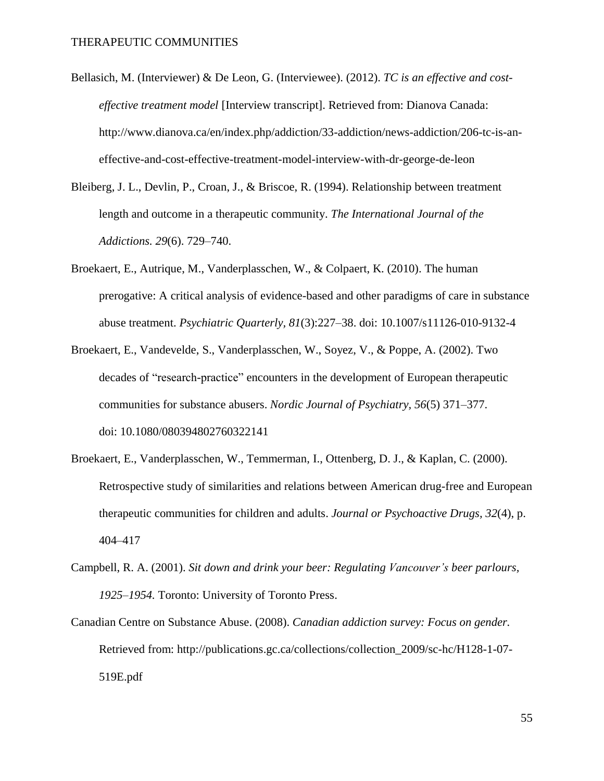- Bellasich, M. (Interviewer) & De Leon, G. (Interviewee). (2012). *TC is an effective and costeffective treatment model* [Interview transcript]. Retrieved from: Dianova Canada: http://www.dianova.ca/en/index.php/addiction/33-addiction/news-addiction/206-tc-is-aneffective-and-cost-effective-treatment-model-interview-with-dr-george-de-leon
- Bleiberg, J. L., Devlin, P., Croan, J., & Briscoe, R. (1994). Relationship between treatment length and outcome in a therapeutic community. *The International Journal of the Addictions. 29*(6). 729–740.
- Broekaert, E., Autrique, M., Vanderplasschen, W., & Colpaert, K. (2010). The human prerogative: A critical analysis of evidence-based and other paradigms of care in substance abuse treatment. *Psychiatric Quarterly, 81*(3):227–38. doi: 10.1007/s11126-010-9132-4
- Broekaert, E., Vandevelde, S., Vanderplasschen, W., Soyez, V., & Poppe, A. (2002). Two decades of "research-practice" encounters in the development of European therapeutic communities for substance abusers. *Nordic Journal of Psychiatry, 56*(5) 371–377. doi: 10.1080/080394802760322141
- Broekaert, E., Vanderplasschen, W., Temmerman, I., Ottenberg, D. J., & Kaplan, C. (2000). Retrospective study of similarities and relations between American drug-free and European therapeutic communities for children and adults. *Journal or Psychoactive Drugs, 32*(4), p. 404–417
- Campbell, R. A. (2001). *Sit down and drink your beer: Regulating Vancouver's beer parlours, 1925–1954.* Toronto: University of Toronto Press.
- Canadian Centre on Substance Abuse. (2008). *Canadian addiction survey: Focus on gender.* Retrieved from: http://publications.gc.ca/collections/collection\_2009/sc-hc/H128-1-07- 519E.pdf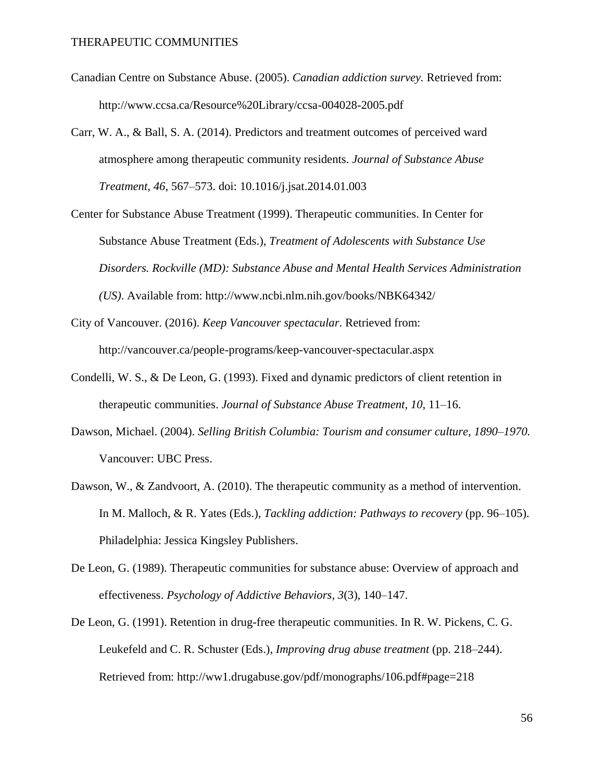- Canadian Centre on Substance Abuse. (2005). *Canadian addiction survey.* Retrieved from: http://www.ccsa.ca/Resource%20Library/ccsa-004028-2005.pdf
- Carr, W. A., & Ball, S. A. (2014). Predictors and treatment outcomes of perceived ward atmosphere among therapeutic community residents*. Journal of Substance Abuse Treatment, 46,* 567–573. doi: 10.1016/j.jsat.2014.01.003
- Center for Substance Abuse Treatment (1999). Therapeutic communities. In Center for Substance Abuse Treatment (Eds.), *Treatment of Adolescents with Substance Use Disorders. Rockville (MD): Substance Abuse and Mental Health Services Administration (US)*. Available from: http://www.ncbi.nlm.nih.gov/books/NBK64342/
- City of Vancouver. (2016). *Keep Vancouver spectacular*. Retrieved from: http://vancouver.ca/people-programs/keep-vancouver-spectacular.aspx
- Condelli, W. S., & De Leon, G. (1993). Fixed and dynamic predictors of client retention in therapeutic communities. *Journal of Substance Abuse Treatment, 10*, 11–16.
- Dawson, Michael. (2004). *Selling British Columbia: Tourism and consumer culture, 1890–1970.* Vancouver: UBC Press.
- Dawson, W., & Zandvoort, A. (2010). The therapeutic community as a method of intervention. In M. Malloch, & R. Yates (Eds.), *Tackling addiction: Pathways to recovery* (pp. 96–105). Philadelphia: Jessica Kingsley Publishers.
- De Leon, G. (1989). Therapeutic communities for substance abuse: Overview of approach and effectiveness. *Psychology of Addictive Behaviors, 3*(3), 140–147.
- De Leon, G. (1991). Retention in drug-free therapeutic communities. In R. W. Pickens, C. G. Leukefeld and C. R. Schuster (Eds.), *Improving drug abuse treatment* (pp. 218–244). Retrieved from: http://ww1.drugabuse.gov/pdf/monographs/106.pdf#page=218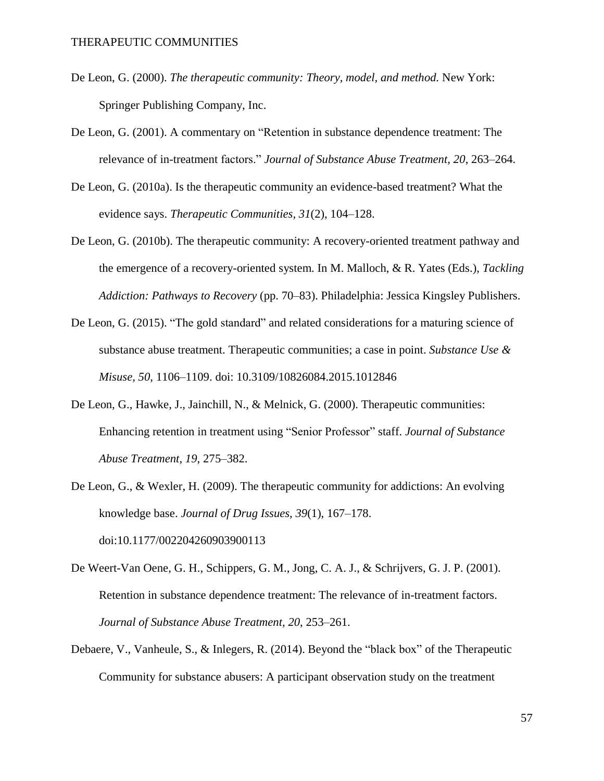- De Leon, G. (2000). *The therapeutic community: Theory, model, and method.* New York: Springer Publishing Company, Inc.
- De Leon, G. (2001). A commentary on "Retention in substance dependence treatment: The relevance of in-treatment factors." *Journal of Substance Abuse Treatment, 20*, 263–264.
- De Leon, G. (2010a). Is the therapeutic community an evidence-based treatment? What the evidence says. *Therapeutic Communities, 31*(2), 104–128.
- De Leon, G. (2010b). The therapeutic community: A recovery-oriented treatment pathway and the emergence of a recovery-oriented system. In M. Malloch, & R. Yates (Eds.), *Tackling Addiction: Pathways to Recovery* (pp. 70–83). Philadelphia: Jessica Kingsley Publishers.
- De Leon, G. (2015). "The gold standard" and related considerations for a maturing science of substance abuse treatment. Therapeutic communities; a case in point. *Substance Use & Misuse, 50*, 1106–1109. doi: 10.3109/10826084.2015.1012846
- De Leon, G., Hawke, J., Jainchill, N., & Melnick, G. (2000). Therapeutic communities: Enhancing retention in treatment using "Senior Professor" staff. *Journal of Substance Abuse Treatment, 19*, 275–382.
- De Leon, G., & Wexler, H. (2009). The therapeutic community for addictions: An evolving knowledge base. *Journal of Drug Issues, 39*(1), 167–178. doi:10.1177/002204260903900113
- De Weert-Van Oene, G. H., Schippers, G. M., Jong, C. A. J., & Schrijvers, G. J. P. (2001). Retention in substance dependence treatment: The relevance of in-treatment factors. *Journal of Substance Abuse Treatment, 20*, 253–261.
- Debaere, V., Vanheule, S., & Inlegers, R. (2014). Beyond the "black box" of the Therapeutic Community for substance abusers: A participant observation study on the treatment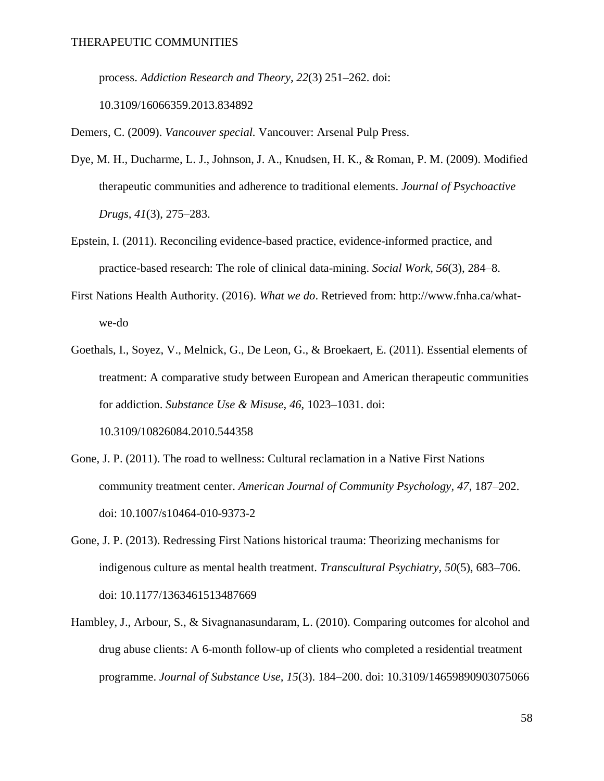process. *Addiction Research and Theory, 22*(3) 251–262. doi:

10.3109/16066359.2013.834892

Demers, C. (2009). *Vancouver special.* Vancouver: Arsenal Pulp Press.

- Dye, M. H., Ducharme, L. J., Johnson, J. A., Knudsen, H. K., & Roman, P. M. (2009). Modified therapeutic communities and adherence to traditional elements. *Journal of Psychoactive Drugs, 41*(3), 275–283.
- Epstein, I. (2011). Reconciling evidence-based practice, evidence-informed practice, and practice-based research: The role of clinical data-mining. *Social Work, 56*(3), 284–8.
- First Nations Health Authority. (2016). *What we do*. Retrieved from: http://www.fnha.ca/whatwe-do
- Goethals, I., Soyez, V., Melnick, G., De Leon, G., & Broekaert, E. (2011). Essential elements of treatment: A comparative study between European and American therapeutic communities for addiction. *Substance Use & Misuse, 46*, 1023–1031. doi: 10.3109/10826084.2010.544358
- Gone, J. P. (2011). The road to wellness: Cultural reclamation in a Native First Nations community treatment center. *American Journal of Community Psychology, 47*, 187–202. doi: 10.1007/s10464-010-9373-2
- Gone, J. P. (2013). Redressing First Nations historical trauma: Theorizing mechanisms for indigenous culture as mental health treatment. *Transcultural Psychiatry, 50*(5), 683–706. doi: 10.1177/1363461513487669
- Hambley, J., Arbour, S., & Sivagnanasundaram, L. (2010). Comparing outcomes for alcohol and drug abuse clients: A 6-month follow-up of clients who completed a residential treatment programme. *Journal of Substance Use, 15*(3). 184–200. doi: 10.3109/14659890903075066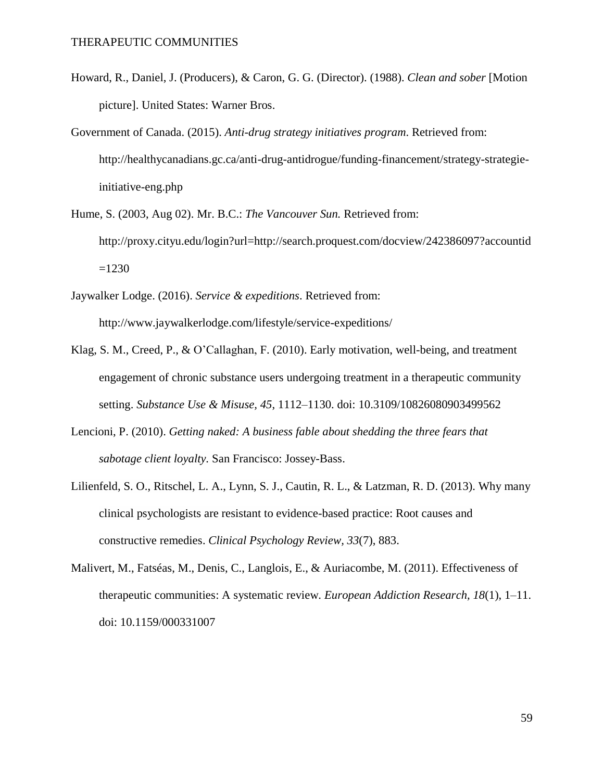- Howard, R., Daniel, J. (Producers), & Caron, G. G. (Director). (1988). *Clean and sober* [Motion picture]. United States: Warner Bros.
- Government of Canada. (2015). *Anti-drug strategy initiatives program*. Retrieved from: http://healthycanadians.gc.ca/anti-drug-antidrogue/funding-financement/strategy-strategieinitiative-eng.php
- Hume, S. (2003, Aug 02). Mr. B.C.: *The Vancouver Sun.* Retrieved from: http://proxy.cityu.edu/login?url=http://search.proquest.com/docview/242386097?accountid  $=1230$
- Jaywalker Lodge. (2016). *Service & expeditions*. Retrieved from: http://www.jaywalkerlodge.com/lifestyle/service-expeditions/
- Klag, S. M., Creed, P., & O'Callaghan, F. (2010). Early motivation, well-being, and treatment engagement of chronic substance users undergoing treatment in a therapeutic community setting. *Substance Use & Misuse, 45*, 1112–1130. doi: 10.3109/10826080903499562
- Lencioni, P. (2010). *Getting naked: A business fable about shedding the three fears that sabotage client loyalty.* San Francisco: Jossey-Bass.
- Lilienfeld, S. O., Ritschel, L. A., Lynn, S. J., Cautin, R. L., & Latzman, R. D. (2013). Why many clinical psychologists are resistant to evidence-based practice: Root causes and constructive remedies. *Clinical Psychology Review, 33*(7), 883.
- Malivert, M., Fatséas, M., Denis, C., Langlois, E., & Auriacombe, M. (2011). Effectiveness of therapeutic communities: A systematic review. *European Addiction Research, 18*(1), 1–11. doi: 10.1159/000331007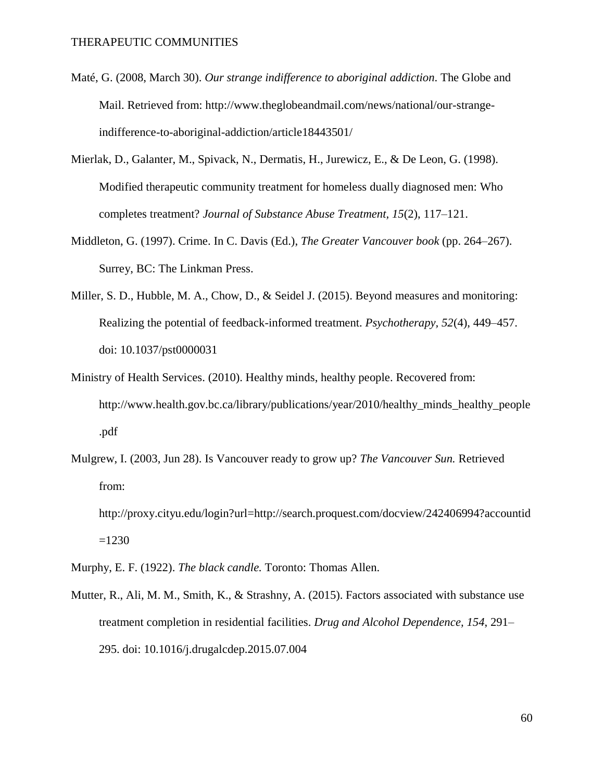- Maté, G. (2008, March 30). *Our strange indifference to aboriginal addiction*. The Globe and Mail. Retrieved from: http://www.theglobeandmail.com/news/national/our-strangeindifference-to-aboriginal-addiction/article18443501/
- Mierlak, D., Galanter, M., Spivack, N., Dermatis, H., Jurewicz, E., & De Leon, G. (1998). Modified therapeutic community treatment for homeless dually diagnosed men: Who completes treatment? *Journal of Substance Abuse Treatment, 15*(2), 117–121.
- Middleton, G. (1997). Crime. In C. Davis (Ed.), *The Greater Vancouver book* (pp. 264–267). Surrey, BC: The Linkman Press.
- Miller, S. D., Hubble, M. A., Chow, D., & Seidel J. (2015). Beyond measures and monitoring: Realizing the potential of feedback-informed treatment. *Psychotherapy, 52*(4), 449–457. doi: 10.1037/pst0000031
- Ministry of Health Services. (2010). Healthy minds, healthy people. Recovered from: http://www.health.gov.bc.ca/library/publications/year/2010/healthy\_minds\_healthy\_people .pdf
- Mulgrew, I. (2003, Jun 28). Is Vancouver ready to grow up? *The Vancouver Sun.* Retrieved from:
	- http://proxy.cityu.edu/login?url=http://search.proquest.com/docview/242406994?accountid  $=1230$
- Murphy, E. F. (1922). *The black candle.* Toronto: Thomas Allen.
- Mutter, R., Ali, M. M., Smith, K., & Strashny, A. (2015). Factors associated with substance use treatment completion in residential facilities. *Drug and Alcohol Dependence, 154*, 291– 295. doi: 10.1016/j.drugalcdep.2015.07.004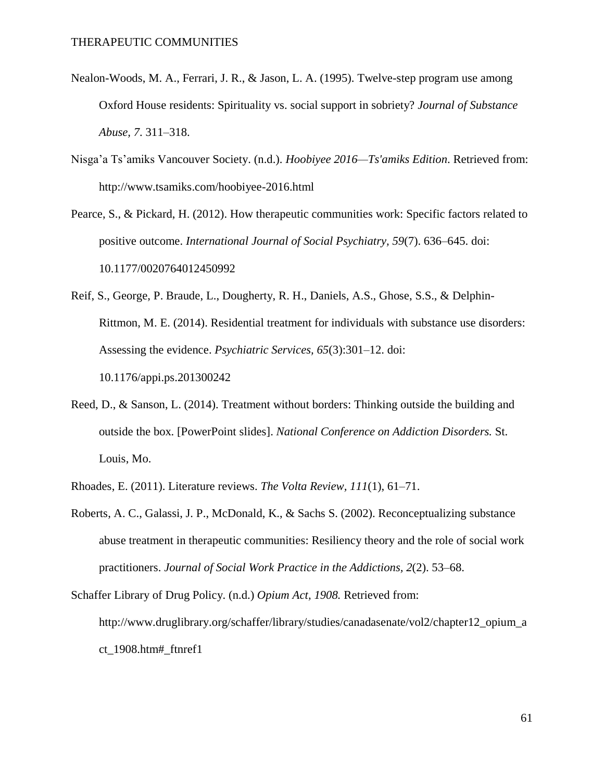- Nealon-Woods, M. A., Ferrari, J. R., & Jason, L. A. (1995). Twelve-step program use among Oxford House residents: Spirituality vs. social support in sobriety? *Journal of Substance Abuse, 7*. 311–318.
- Nisga'a Ts'amiks Vancouver Society. (n.d.). *Hoobiyee 2016—Ts'amiks Edition*. Retrieved from: http://www.tsamiks.com/hoobiyee-2016.html

Pearce, S., & Pickard, H. (2012). How therapeutic communities work: Specific factors related to positive outcome. *International Journal of Social Psychiatry, 59*(7). 636–645. doi: 10.1177/0020764012450992

- Reif, S., George, P. Braude, L., Dougherty, R. H., Daniels, A.S., Ghose, S.S., & Delphin-Rittmon, M. E. (2014). Residential treatment for individuals with substance use disorders: Assessing the evidence. *Psychiatric Services, 65*(3):301–12. doi: 10.1176/appi.ps.201300242
- Reed, D., & Sanson, L. (2014). Treatment without borders: Thinking outside the building and outside the box. [PowerPoint slides]. *National Conference on Addiction Disorders.* St. Louis, Mo.
- Rhoades, E. (2011). Literature reviews. *The Volta Review, 111*(1), 61–71.
- Roberts, A. C., Galassi, J. P., McDonald, K., & Sachs S. (2002). Reconceptualizing substance abuse treatment in therapeutic communities: Resiliency theory and the role of social work practitioners. *Journal of Social Work Practice in the Addictions, 2*(2). 53–68.

Schaffer Library of Drug Policy. (n.d.) *Opium Act, 1908.* Retrieved from: http://www.druglibrary.org/schaffer/library/studies/canadasenate/vol2/chapter12\_opium\_a ct\_1908.htm#\_ftnref1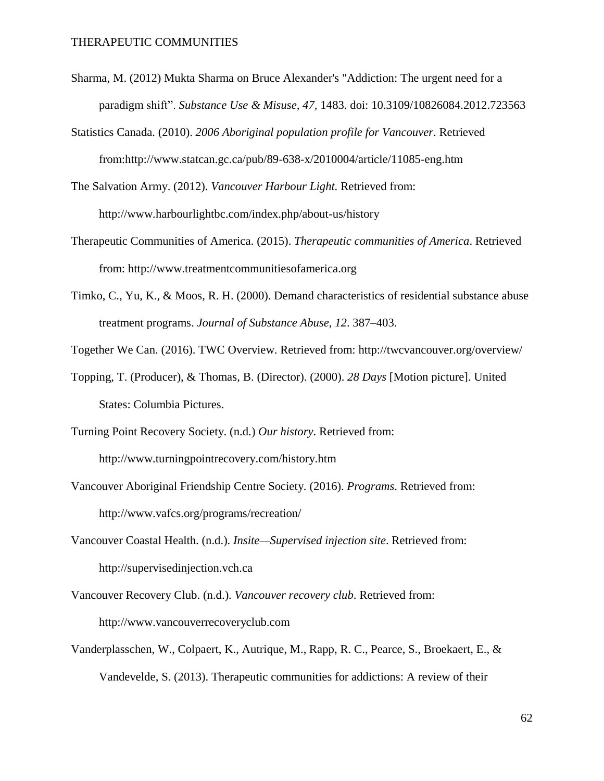- Sharma, M. (2012) Mukta Sharma on Bruce Alexander's "Addiction: The urgent need for a paradigm shift". *Substance Use & Misuse, 47,* 1483. doi: 10.3109/10826084.2012.723563
- Statistics Canada. (2010). *2006 Aboriginal population profile for Vancouver*. Retrieved from:http://www.statcan.gc.ca/pub/89-638-x/2010004/article/11085-eng.htm
- The Salvation Army. (2012). *Vancouver Harbour Light.* Retrieved from: http://www.harbourlightbc.com/index.php/about-us/history
- Therapeutic Communities of America. (2015). *Therapeutic communities of America*. Retrieved from: http://www.treatmentcommunitiesofamerica.org
- Timko, C., Yu, K., & Moos, R. H. (2000). Demand characteristics of residential substance abuse treatment programs. *Journal of Substance Abuse, 12*. 387–403.
- Together We Can. (2016). TWC Overview. Retrieved from: http://twcvancouver.org/overview/
- Topping, T. (Producer), & Thomas, B. (Director). (2000). *28 Days* [Motion picture]. United States: Columbia Pictures.
- Turning Point Recovery Society. (n.d.) *Our history*. Retrieved from: http://www.turningpointrecovery.com/history.htm
- Vancouver Aboriginal Friendship Centre Society. (2016). *Programs*. Retrieved from: http://www.vafcs.org/programs/recreation/
- Vancouver Coastal Health. (n.d.). *Insite—Supervised injection site*. Retrieved from: http://supervisedinjection.vch.ca
- Vancouver Recovery Club. (n.d.). *Vancouver recovery club*. Retrieved from: http://www.vancouverrecoveryclub.com
- Vanderplasschen, W., Colpaert, K., Autrique, M., Rapp, R. C., Pearce, S., Broekaert, E., & Vandevelde, S. (2013). Therapeutic communities for addictions: A review of their